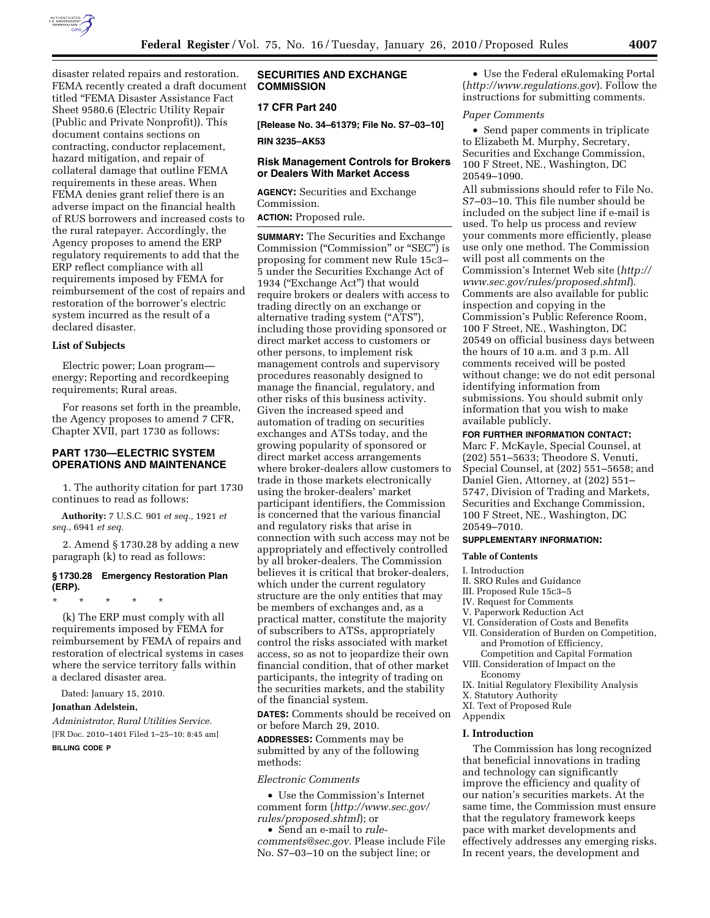

disaster related repairs and restoration. FEMA recently created a draft document titled ''FEMA Disaster Assistance Fact Sheet 9580.6 (Electric Utility Repair (Public and Private Nonprofit)). This document contains sections on contracting, conductor replacement, hazard mitigation, and repair of collateral damage that outline FEMA requirements in these areas. When FEMA denies grant relief there is an adverse impact on the financial health of RUS borrowers and increased costs to the rural ratepayer. Accordingly, the Agency proposes to amend the ERP regulatory requirements to add that the ERP reflect compliance with all requirements imposed by FEMA for reimbursement of the cost of repairs and restoration of the borrower's electric system incurred as the result of a

# declared disaster. **List of Subjects**

Electric power; Loan program energy; Reporting and recordkeeping requirements; Rural areas.

For reasons set forth in the preamble, the Agency proposes to amend 7 CFR, Chapter XVII, part 1730 as follows:

## **PART 1730—ELECTRIC SYSTEM OPERATIONS AND MAINTENANCE**

1. The authority citation for part 1730 continues to read as follows:

**Authority:** 7 U.S.C. 901 *et seq.,* 1921 *et seq.,* 6941 *et seq.* 

2. Amend § 1730.28 by adding a new paragraph (k) to read as follows:

### **§ 1730.28 Emergency Restoration Plan (ERP).**

(k) The ERP must comply with all requirements imposed by FEMA for reimbursement by FEMA of repairs and restoration of electrical systems in cases where the service territory falls within a declared disaster area.

Dated: January 15, 2010.

\* \* \* \* \*

## **Jonathan Adelstein,**

*Administrator, Rural Utilities Service.*  [FR Doc. 2010–1401 Filed 1–25–10; 8:45 am] **BILLING CODE P** 

#### **SECURITIES AND EXCHANGE COMMISSION**

### **17 CFR Part 240**

**[Release No. 34–61379; File No. S7–03–10]** 

**RIN 3235–AK53** 

## **Risk Management Controls for Brokers or Dealers With Market Access**

**AGENCY:** Securities and Exchange Commission.

**ACTION:** Proposed rule.

**SUMMARY:** The Securities and Exchange Commission ("Commission" or "SEC") is proposing for comment new Rule 15c3– 5 under the Securities Exchange Act of 1934 (''Exchange Act'') that would require brokers or dealers with access to trading directly on an exchange or alternative trading system ("ATS"), including those providing sponsored or direct market access to customers or other persons, to implement risk management controls and supervisory procedures reasonably designed to manage the financial, regulatory, and other risks of this business activity. Given the increased speed and automation of trading on securities exchanges and ATSs today, and the growing popularity of sponsored or direct market access arrangements where broker-dealers allow customers to trade in those markets electronically using the broker-dealers' market participant identifiers, the Commission is concerned that the various financial and regulatory risks that arise in connection with such access may not be appropriately and effectively controlled by all broker-dealers. The Commission believes it is critical that broker-dealers, which under the current regulatory structure are the only entities that may be members of exchanges and, as a practical matter, constitute the majority of subscribers to ATSs, appropriately control the risks associated with market access, so as not to jeopardize their own financial condition, that of other market participants, the integrity of trading on the securities markets, and the stability of the financial system.

**DATES:** Comments should be received on or before March 29, 2010.

**ADDRESSES:** Comments may be submitted by any of the following methods:

#### *Electronic Comments*

• Use the Commission's Internet comment form (*http://www.sec.gov/ rules/proposed.shtml*); or

• Send an e-mail to *rulecomments@sec.gov.* Please include File No. S7–03–10 on the subject line; or

• Use the Federal eRulemaking Portal (*http://www.regulations.gov*). Follow the instructions for submitting comments.

#### *Paper Comments*

• Send paper comments in triplicate to Elizabeth M. Murphy, Secretary, Securities and Exchange Commission, 100 F Street, NE., Washington, DC 20549–1090.

All submissions should refer to File No. S7–03–10. This file number should be included on the subject line if e-mail is used. To help us process and review your comments more efficiently, please use only one method. The Commission will post all comments on the Commission's Internet Web site (*http:// www.sec.gov/rules/proposed.shtml*). Comments are also available for public inspection and copying in the Commission's Public Reference Room, 100 F Street, NE., Washington, DC 20549 on official business days between the hours of 10 a.m. and 3 p.m. All comments received will be posted without change; we do not edit personal identifying information from submissions. You should submit only information that you wish to make available publicly.

#### **FOR FURTHER INFORMATION CONTACT:**

Marc F. McKayle, Special Counsel, at (202) 551–5633; Theodore S. Venuti, Special Counsel, at (202) 551–5658; and Daniel Gien, Attorney, at (202) 551– 5747, Division of Trading and Markets, Securities and Exchange Commission, 100 F Street, NE., Washington, DC 20549–7010.

#### **SUPPLEMENTARY INFORMATION:**

#### **Table of Contents**

- I. Introduction
- II. SRO Rules and Guidance
- III. Proposed Rule 15c3–5
- IV. Request for Comments
- V. Paperwork Reduction Act
- VI. Consideration of Costs and Benefits
- VII. Consideration of Burden on Competition, and Promotion of Efficiency,
- Competition and Capital Formation VIII. Consideration of Impact on the Economy
- IX. Initial Regulatory Flexibility Analysis
- X. Statutory Authority
- XI. Text of Proposed Rule
- Appendix

#### **I. Introduction**

The Commission has long recognized that beneficial innovations in trading and technology can significantly improve the efficiency and quality of our nation's securities markets. At the same time, the Commission must ensure that the regulatory framework keeps pace with market developments and effectively addresses any emerging risks. In recent years, the development and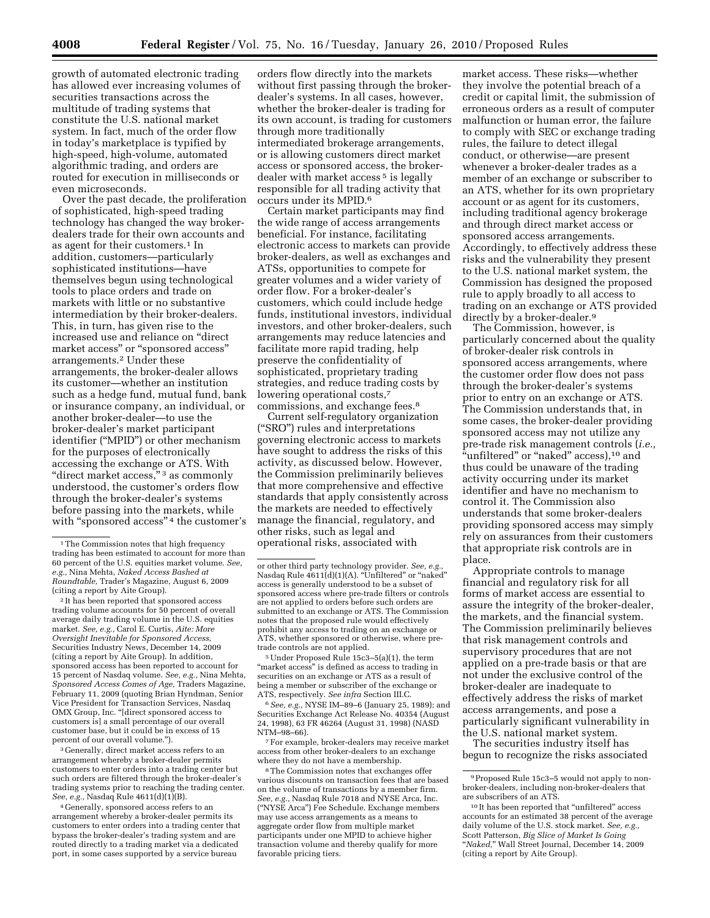growth of automated electronic trading has allowed ever increasing volumes of securities transactions across the multitude of trading systems that constitute the U.S. national market system. In fact, much of the order flow in today's marketplace is typified by high-speed, high-volume, automated algorithmic trading, and orders are routed for execution in milliseconds or even microseconds.

Over the past decade, the proliferation of sophisticated, high-speed trading technology has changed the way brokerdealers trade for their own accounts and as agent for their customers.1 In addition, customers—particularly sophisticated institutions—have themselves begun using technological tools to place orders and trade on markets with little or no substantive intermediation by their broker-dealers. This, in turn, has given rise to the increased use and reliance on ''direct market access'' or ''sponsored access'' arrangements.2 Under these arrangements, the broker-dealer allows its customer—whether an institution such as a hedge fund, mutual fund, bank or insurance company, an individual, or another broker-dealer—to use the broker-dealer's market participant identifier (''MPID'') or other mechanism for the purposes of electronically accessing the exchange or ATS. With "direct market access,"<sup>3</sup> as commonly understood, the customer's orders flow through the broker-dealer's systems before passing into the markets, while with "sponsored access"<sup>4</sup> the customer's

3 Generally, direct market access refers to an arrangement whereby a broker-dealer permits customers to enter orders into a trading center but such orders are filtered through the broker-dealer's trading systems prior to reaching the trading center. *See, e.g.,* Nasdaq Rule 4611(d)(1)(B).

4 Generally, sponsored access refers to an arrangement whereby a broker-dealer permits its customers to enter orders into a trading center that bypass the broker-dealer's trading system and are routed directly to a trading market via a dedicated port, in some cases supported by a service bureau

orders flow directly into the markets without first passing through the brokerdealer's systems. In all cases, however, whether the broker-dealer is trading for its own account, is trading for customers through more traditionally intermediated brokerage arrangements, or is allowing customers direct market access or sponsored access, the brokerdealer with market access<sup>5</sup> is legally responsible for all trading activity that occurs under its MPID.6

Certain market participants may find the wide range of access arrangements beneficial. For instance, facilitating electronic access to markets can provide broker-dealers, as well as exchanges and ATSs, opportunities to compete for greater volumes and a wider variety of order flow. For a broker-dealer's customers, which could include hedge funds, institutional investors, individual investors, and other broker-dealers, such arrangements may reduce latencies and facilitate more rapid trading, help preserve the confidentiality of sophisticated, proprietary trading strategies, and reduce trading costs by lowering operational costs,<sup>7</sup> commissions, and exchange fees.8

Current self-regulatory organization (''SRO'') rules and interpretations governing electronic access to markets have sought to address the risks of this activity, as discussed below. However, the Commission preliminarily believes that more comprehensive and effective standards that apply consistently across the markets are needed to effectively manage the financial, regulatory, and other risks, such as legal and operational risks, associated with

5Under Proposed Rule 15c3–5(a)(1), the term "market access" is defined as access to trading in securities on an exchange or ATS as a result of being a member or subscriber of the exchange or ATS, respectively. *See infra* Section III.C.

6*See, e.g.,* NYSE IM–89–6 (January 25, 1989); and Securities Exchange Act Release No. 40354 (August 24, 1998), 63 FR 46264 (August 31, 1998) (NASD NTM–98–66).

7For example, broker-dealers may receive market access from other broker-dealers to an exchange where they do not have a membership.

8The Commission notes that exchanges offer various discounts on transaction fees that are based on the volume of transactions by a member firm. *See, e.g.,* Nasdaq Rule 7018 and NYSE Arca, Inc. (''NYSE Arca'') Fee Schedule. Exchange members may use access arrangements as a means to aggregate order flow from multiple market participants under one MPID to achieve higher transaction volume and thereby qualify for more favorable pricing tiers.

market access. These risks—whether they involve the potential breach of a credit or capital limit, the submission of erroneous orders as a result of computer malfunction or human error, the failure to comply with SEC or exchange trading rules, the failure to detect illegal conduct, or otherwise—are present whenever a broker-dealer trades as a member of an exchange or subscriber to an ATS, whether for its own proprietary account or as agent for its customers, including traditional agency brokerage and through direct market access or sponsored access arrangements. Accordingly, to effectively address these risks and the vulnerability they present to the U.S. national market system, the Commission has designed the proposed rule to apply broadly to all access to trading on an exchange or ATS provided directly by a broker-dealer.9

The Commission, however, is particularly concerned about the quality of broker-dealer risk controls in sponsored access arrangements, where the customer order flow does not pass through the broker-dealer's systems prior to entry on an exchange or ATS. The Commission understands that, in some cases, the broker-dealer providing sponsored access may not utilize any pre-trade risk management controls (*i.e.,*  "unfiltered" or "naked" access),<sup>10</sup> and thus could be unaware of the trading activity occurring under its market identifier and have no mechanism to control it. The Commission also understands that some broker-dealers providing sponsored access may simply rely on assurances from their customers that appropriate risk controls are in place.

Appropriate controls to manage financial and regulatory risk for all forms of market access are essential to assure the integrity of the broker-dealer, the markets, and the financial system. The Commission preliminarily believes that risk management controls and supervisory procedures that are not applied on a pre-trade basis or that are not under the exclusive control of the broker-dealer are inadequate to effectively address the risks of market access arrangements, and pose a particularly significant vulnerability in the U.S. national market system.

The securities industry itself has begun to recognize the risks associated

<sup>1</sup>The Commission notes that high frequency trading has been estimated to account for more than 60 percent of the U.S. equities market volume. *See, e.g.,* Nina Mehta, *Naked Access Bashed at Roundtable,* Trader's Magazine, August 6, 2009 (citing a report by Aite Group).

<sup>2</sup> It has been reported that sponsored access trading volume accounts for 50 percent of overall average daily trading volume in the U.S. equities market. *See, e.g.,* Carol E. Curtis, *Aite: More Oversight Inevitable for Sponsored Access,*  Securities Industry News, December 14, 2009 (citing a report by Aite Group). In addition, sponsored access has been reported to account for 15 percent of Nasdaq volume. *See, e.g.,* Nina Mehta, *Sponsored Access Comes of Age,* Traders Magazine, February 11, 2009 (quoting Brian Hyndman, Senior Vice President for Transaction Services, Nasdaq OMX Group, Inc. ''[direct sponsored access to customers is] a small percentage of our overall customer base, but it could be in excess of 15 percent of our overall volume.'').

or other third party technology provider. *See, e.g.,*  Nasdaq Rule 4611(d)(1)(A). ''Unfiltered'' or ''naked'' access is generally understood to be a subset of sponsored access where pre-trade filters or controls are not applied to orders before such orders are submitted to an exchange or ATS. The Commission notes that the proposed rule would effectively prohibit any access to trading on an exchange or ATS, whether sponsored or otherwise, where pretrade controls are not applied.

<sup>9</sup>Proposed Rule 15c3–5 would not apply to nonbroker-dealers, including non-broker-dealers that are subscribers of an ATS.

<sup>10</sup> It has been reported that ''unfiltered'' access accounts for an estimated 38 percent of the average daily volume of the U.S. stock market. *See, e.g.,*  Scott Patterson, *Big Slice of Market Is Going*  ''*Naked,*'' Wall Street Journal, December 14, 2009 (citing a report by Aite Group).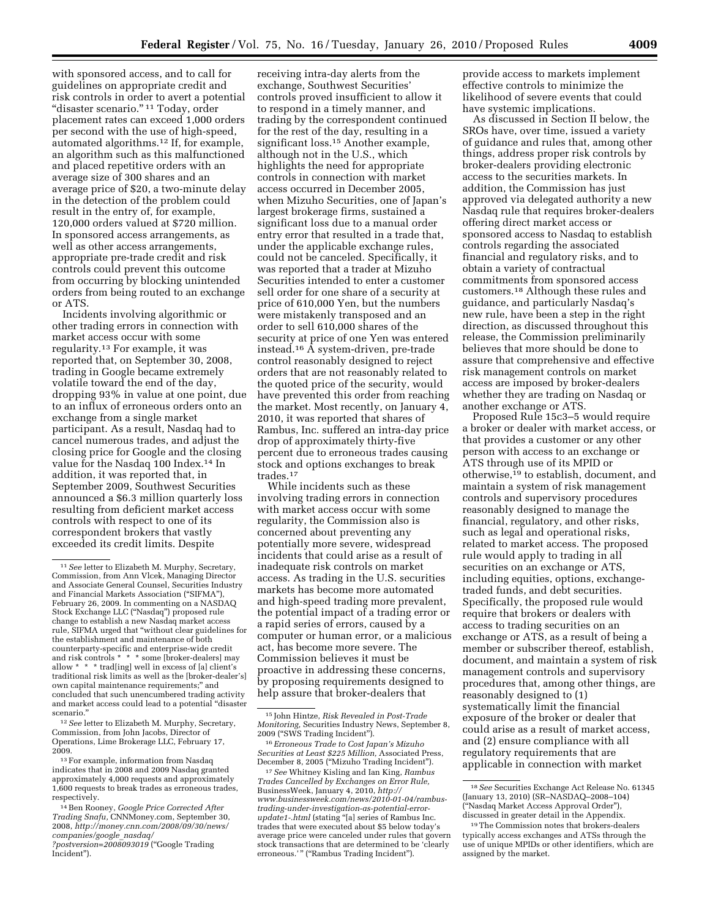with sponsored access, and to call for guidelines on appropriate credit and risk controls in order to avert a potential "disaster scenario."<sup>11</sup> Today, order placement rates can exceed 1,000 orders per second with the use of high-speed, automated algorithms.12 If, for example, an algorithm such as this malfunctioned and placed repetitive orders with an average size of 300 shares and an average price of \$20, a two-minute delay in the detection of the problem could result in the entry of, for example, 120,000 orders valued at \$720 million. In sponsored access arrangements, as well as other access arrangements, appropriate pre-trade credit and risk controls could prevent this outcome from occurring by blocking unintended orders from being routed to an exchange or ATS.

Incidents involving algorithmic or other trading errors in connection with market access occur with some regularity.13 For example, it was reported that, on September 30, 2008, trading in Google became extremely volatile toward the end of the day, dropping 93% in value at one point, due to an influx of erroneous orders onto an exchange from a single market participant. As a result, Nasdaq had to cancel numerous trades, and adjust the closing price for Google and the closing value for the Nasdaq 100 Index.14 In addition, it was reported that, in September 2009, Southwest Securities announced a \$6.3 million quarterly loss resulting from deficient market access controls with respect to one of its correspondent brokers that vastly exceeded its credit limits. Despite

receiving intra-day alerts from the exchange, Southwest Securities' controls proved insufficient to allow it to respond in a timely manner, and trading by the correspondent continued for the rest of the day, resulting in a significant loss.15 Another example, although not in the U.S., which highlights the need for appropriate controls in connection with market access occurred in December 2005, when Mizuho Securities, one of Japan's largest brokerage firms, sustained a significant loss due to a manual order entry error that resulted in a trade that, under the applicable exchange rules, could not be canceled. Specifically, it was reported that a trader at Mizuho Securities intended to enter a customer sell order for one share of a security at price of 610,000 Yen, but the numbers were mistakenly transposed and an order to sell 610,000 shares of the security at price of one Yen was entered instead.16 A system-driven, pre-trade control reasonably designed to reject orders that are not reasonably related to the quoted price of the security, would have prevented this order from reaching the market. Most recently, on January 4, 2010, it was reported that shares of Rambus, Inc. suffered an intra-day price drop of approximately thirty-five percent due to erroneous trades causing stock and options exchanges to break trades.17

While incidents such as these involving trading errors in connection with market access occur with some regularity, the Commission also is concerned about preventing any potentially more severe, widespread incidents that could arise as a result of inadequate risk controls on market access. As trading in the U.S. securities markets has become more automated and high-speed trading more prevalent, the potential impact of a trading error or a rapid series of errors, caused by a computer or human error, or a malicious act, has become more severe. The Commission believes it must be proactive in addressing these concerns, by proposing requirements designed to help assure that broker-dealers that

provide access to markets implement effective controls to minimize the likelihood of severe events that could have systemic implications.

As discussed in Section II below, the SROs have, over time, issued a variety of guidance and rules that, among other things, address proper risk controls by broker-dealers providing electronic access to the securities markets. In addition, the Commission has just approved via delegated authority a new Nasdaq rule that requires broker-dealers offering direct market access or sponsored access to Nasdaq to establish controls regarding the associated financial and regulatory risks, and to obtain a variety of contractual commitments from sponsored access customers.18 Although these rules and guidance, and particularly Nasdaq's new rule, have been a step in the right direction, as discussed throughout this release, the Commission preliminarily believes that more should be done to assure that comprehensive and effective risk management controls on market access are imposed by broker-dealers whether they are trading on Nasdaq or another exchange or ATS.

Proposed Rule 15c3–5 would require a broker or dealer with market access, or that provides a customer or any other person with access to an exchange or ATS through use of its MPID or otherwise,19 to establish, document, and maintain a system of risk management controls and supervisory procedures reasonably designed to manage the financial, regulatory, and other risks, such as legal and operational risks, related to market access. The proposed rule would apply to trading in all securities on an exchange or ATS, including equities, options, exchangetraded funds, and debt securities. Specifically, the proposed rule would require that brokers or dealers with access to trading securities on an exchange or ATS, as a result of being a member or subscriber thereof, establish, document, and maintain a system of risk management controls and supervisory procedures that, among other things, are reasonably designed to (1) systematically limit the financial exposure of the broker or dealer that could arise as a result of market access, and (2) ensure compliance with all regulatory requirements that are applicable in connection with market

<sup>11</sup>*See* letter to Elizabeth M. Murphy, Secretary, Commission, from Ann Vlcek, Managing Director and Associate General Counsel, Securities Industry and Financial Markets Association (''SIFMA''), February 26, 2009. In commenting on a NASDAQ Stock Exchange LLC (''Nasdaq'') proposed rule change to establish a new Nasdaq market access rule, SIFMA urged that ''without clear guidelines for the establishment and maintenance of both counterparty-specific and enterprise-wide credit and risk controls \* \* \* some [broker-dealers] may allow \* \* \* trad[ing] well in excess of [a] client's traditional risk limits as well as the [broker-dealer's] own capital maintenance requirements;'' and concluded that such unencumbered trading activity and market access could lead to a potential ''disaster scenario.''

<sup>12</sup>*See* letter to Elizabeth M. Murphy, Secretary, Commission, from John Jacobs, Director of Operations, Lime Brokerage LLC, February 17, 2009.

<sup>13</sup>For example, information from Nasdaq indicates that in 2008 and 2009 Nasdaq granted approximately 4,000 requests and approximately 1,600 requests to break trades as erroneous trades, respectively.

<sup>14</sup>Ben Rooney, *Google Price Corrected After Trading Snafu,* CNNMoney.com, September 30, 2008, *http://money.cnn.com/2008/09/30/news/ companies/google*\_*nasdaq/* 

*<sup>?</sup>postversion=2008093019* (''Google Trading Incident'').

<sup>15</sup> John Hintze, *Risk Revealed in Post-Trade Monitoring,* Securities Industry News, September 8,

<sup>&</sup>lt;sup>16</sup> Erroneous Trade to Cost Japan's Mizuho *Securities at Least \$225 Million,* Associated Press,

 $^{17} \, See$  Whitney Kisling and Ian King,  $Rambus$ *Trades Cancelled by Exchanges on Error Rule,*  BusinessWeek, January 4, 2010, *http:// www.businessweek.com/news/2010-01-04/rambustrading-under-investigation-as-potential-errorupdate1-.html* (stating ''[a] series of Rambus Inc. trades that were executed about \$5 below today's average price were canceled under rules that govern stock transactions that are determined to be 'clearly erroneous.'" ("Rambus Trading Incident").

<sup>18</sup>*See* Securities Exchange Act Release No. 61345 (January 13, 2010) (SR–NASDAQ–2008–104) (''Nasdaq Market Access Approval Order''), discussed in greater detail in the Appendix.

<sup>19</sup>The Commission notes that brokers-dealers typically access exchanges and ATSs through the use of unique MPIDs or other identifiers, which are assigned by the market.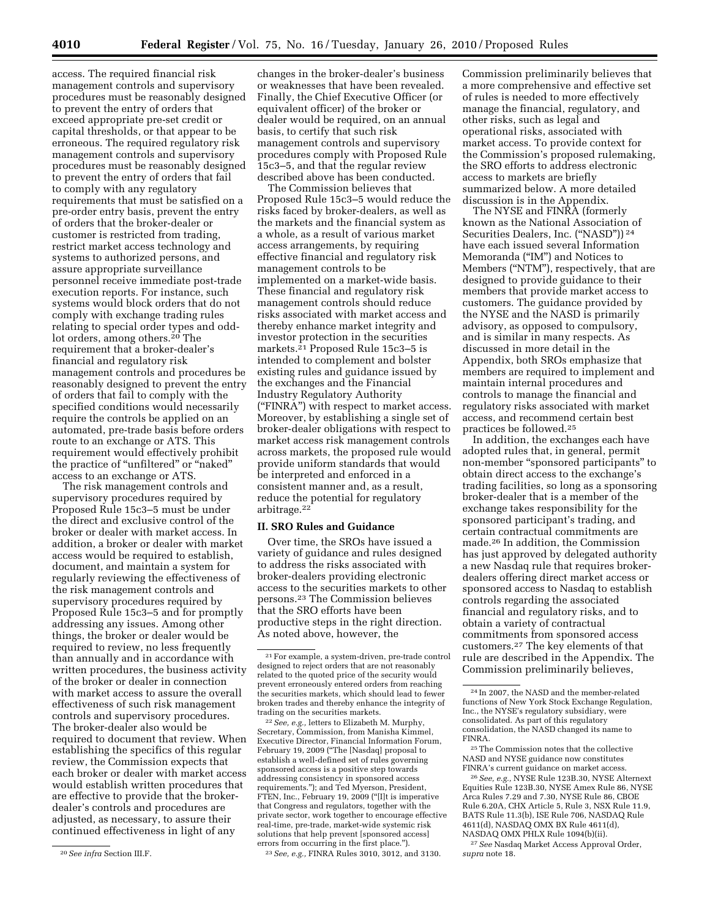access. The required financial risk management controls and supervisory procedures must be reasonably designed to prevent the entry of orders that exceed appropriate pre-set credit or capital thresholds, or that appear to be erroneous. The required regulatory risk management controls and supervisory procedures must be reasonably designed to prevent the entry of orders that fail to comply with any regulatory requirements that must be satisfied on a pre-order entry basis, prevent the entry of orders that the broker-dealer or customer is restricted from trading, restrict market access technology and systems to authorized persons, and assure appropriate surveillance personnel receive immediate post-trade execution reports. For instance, such systems would block orders that do not comply with exchange trading rules relating to special order types and oddlot orders, among others.20 The requirement that a broker-dealer's financial and regulatory risk management controls and procedures be reasonably designed to prevent the entry of orders that fail to comply with the specified conditions would necessarily require the controls be applied on an automated, pre-trade basis before orders route to an exchange or ATS. This requirement would effectively prohibit the practice of ''unfiltered'' or ''naked'' access to an exchange or ATS.

The risk management controls and supervisory procedures required by Proposed Rule 15c3–5 must be under the direct and exclusive control of the broker or dealer with market access. In addition, a broker or dealer with market access would be required to establish, document, and maintain a system for regularly reviewing the effectiveness of the risk management controls and supervisory procedures required by Proposed Rule 15c3–5 and for promptly addressing any issues. Among other things, the broker or dealer would be required to review, no less frequently than annually and in accordance with written procedures, the business activity of the broker or dealer in connection with market access to assure the overall effectiveness of such risk management controls and supervisory procedures. The broker-dealer also would be required to document that review. When establishing the specifics of this regular review, the Commission expects that each broker or dealer with market access would establish written procedures that are effective to provide that the brokerdealer's controls and procedures are adjusted, as necessary, to assure their continued effectiveness in light of any

changes in the broker-dealer's business or weaknesses that have been revealed. Finally, the Chief Executive Officer (or equivalent officer) of the broker or dealer would be required, on an annual basis, to certify that such risk management controls and supervisory procedures comply with Proposed Rule 15c3–5, and that the regular review described above has been conducted.

The Commission believes that Proposed Rule 15c3–5 would reduce the risks faced by broker-dealers, as well as the markets and the financial system as a whole, as a result of various market access arrangements, by requiring effective financial and regulatory risk management controls to be implemented on a market-wide basis. These financial and regulatory risk management controls should reduce risks associated with market access and thereby enhance market integrity and investor protection in the securities markets.21 Proposed Rule 15c3–5 is intended to complement and bolster existing rules and guidance issued by the exchanges and the Financial Industry Regulatory Authority (''FINRA'') with respect to market access. Moreover, by establishing a single set of broker-dealer obligations with respect to market access risk management controls across markets, the proposed rule would provide uniform standards that would be interpreted and enforced in a consistent manner and, as a result, reduce the potential for regulatory arbitrage.22

#### **II. SRO Rules and Guidance**

Over time, the SROs have issued a variety of guidance and rules designed to address the risks associated with broker-dealers providing electronic access to the securities markets to other persons.23 The Commission believes that the SRO efforts have been productive steps in the right direction. As noted above, however, the

22*See, e.g.,* letters to Elizabeth M. Murphy, Secretary, Commission, from Manisha Kimmel, Executive Director, Financial Information Forum, February 19, 2009 (''The [Nasdaq] proposal to establish a well-defined set of rules governing sponsored access is a positive step towards addressing consistency in sponsored access requirements.''); and Ted Myerson, President, FTEN, Inc., February 19, 2009 ("[I]t is imperative that Congress and regulators, together with the private sector, work together to encourage effective real-time, pre-trade, market-wide systemic risk solutions that help prevent [sponsored access] errors from occurring in the first place.'').

23*See, e.g.,* FINRA Rules 3010, 3012, and 3130.

Commission preliminarily believes that a more comprehensive and effective set of rules is needed to more effectively manage the financial, regulatory, and other risks, such as legal and operational risks, associated with market access. To provide context for the Commission's proposed rulemaking, the SRO efforts to address electronic access to markets are briefly summarized below. A more detailed discussion is in the Appendix.

The NYSE and FINRA (formerly known as the National Association of Securities Dealers, Inc. ("NASD")) <sup>24</sup> have each issued several Information Memoranda (''IM'') and Notices to Members (''NTM''), respectively, that are designed to provide guidance to their members that provide market access to customers. The guidance provided by the NYSE and the NASD is primarily advisory, as opposed to compulsory, and is similar in many respects. As discussed in more detail in the Appendix, both SROs emphasize that members are required to implement and maintain internal procedures and controls to manage the financial and regulatory risks associated with market access, and recommend certain best practices be followed.25

In addition, the exchanges each have adopted rules that, in general, permit non-member ''sponsored participants'' to obtain direct access to the exchange's trading facilities, so long as a sponsoring broker-dealer that is a member of the exchange takes responsibility for the sponsored participant's trading, and certain contractual commitments are made.26 In addition, the Commission has just approved by delegated authority a new Nasdaq rule that requires brokerdealers offering direct market access or sponsored access to Nasdaq to establish controls regarding the associated financial and regulatory risks, and to obtain a variety of contractual commitments from sponsored access customers.27 The key elements of that rule are described in the Appendix. The Commission preliminarily believes,

25The Commission notes that the collective NASD and NYSE guidance now constitutes FINRA's current guidance on market access.

26*See, e.g.,* NYSE Rule 123B.30, NYSE Alternext Equities Rule 123B.30, NYSE Amex Rule 86, NYSE Arca Rules 7.29 and 7.30, NYSE Rule 86, CBOE Rule 6.20A, CHX Article 5, Rule 3, NSX Rule 11.9, BATS Rule 11.3(b), ISE Rule 706, NASDAQ Rule 4611(d), NASDAQ OMX BX Rule 4611(d), NASDAQ OMX PHLX Rule 1094(b)(ii).

27*See* Nasdaq Market Access Approval Order, *supra* note 18.

<sup>20</sup>*See infra* Section III.F.

<sup>21</sup>For example, a system-driven, pre-trade control designed to reject orders that are not reasonably related to the quoted price of the security would prevent erroneously entered orders from reaching the securities markets, which should lead to fewer broken trades and thereby enhance the integrity of trading on the securities markets.

<sup>24</sup> In 2007, the NASD and the member-related functions of New York Stock Exchange Regulation, Inc., the NYSE's regulatory subsidiary, were consolidated. As part of this regulatory consolidation, the NASD changed its name to FINRA.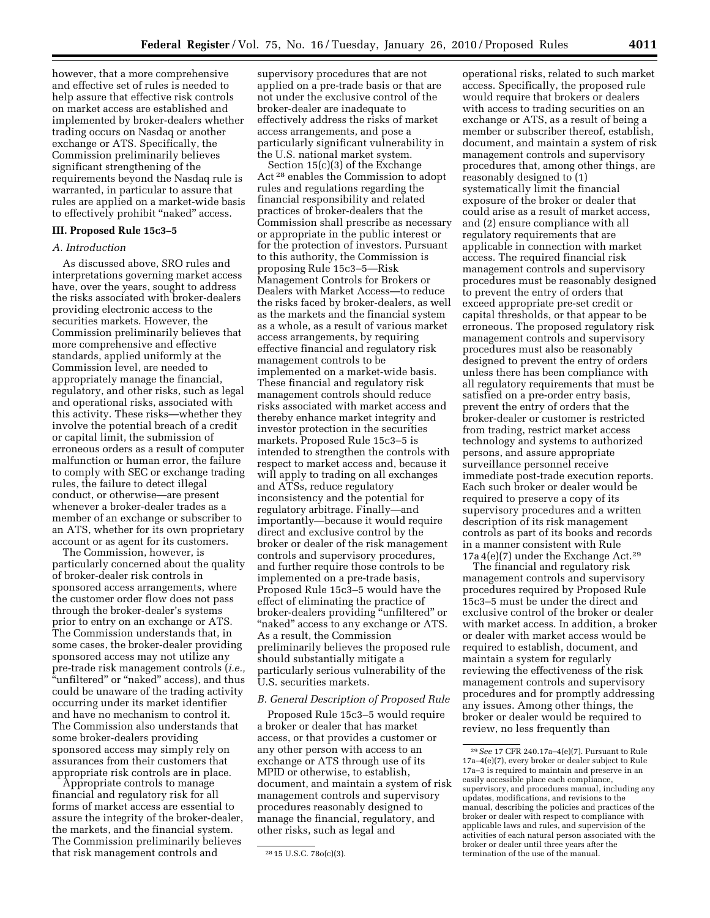however, that a more comprehensive and effective set of rules is needed to help assure that effective risk controls on market access are established and implemented by broker-dealers whether trading occurs on Nasdaq or another exchange or ATS. Specifically, the Commission preliminarily believes significant strengthening of the requirements beyond the Nasdaq rule is warranted, in particular to assure that rules are applied on a market-wide basis to effectively prohibit ''naked'' access.

### **III. Proposed Rule 15c3–5**

### *A. Introduction*

As discussed above, SRO rules and interpretations governing market access have, over the years, sought to address the risks associated with broker-dealers providing electronic access to the securities markets. However, the Commission preliminarily believes that more comprehensive and effective standards, applied uniformly at the Commission level, are needed to appropriately manage the financial, regulatory, and other risks, such as legal and operational risks, associated with this activity. These risks—whether they involve the potential breach of a credit or capital limit, the submission of erroneous orders as a result of computer malfunction or human error, the failure to comply with SEC or exchange trading rules, the failure to detect illegal conduct, or otherwise—are present whenever a broker-dealer trades as a member of an exchange or subscriber to an ATS, whether for its own proprietary account or as agent for its customers.

The Commission, however, is particularly concerned about the quality of broker-dealer risk controls in sponsored access arrangements, where the customer order flow does not pass through the broker-dealer's systems prior to entry on an exchange or ATS. The Commission understands that, in some cases, the broker-dealer providing sponsored access may not utilize any pre-trade risk management controls (*i.e.,*  ''unfiltered'' or ''naked'' access), and thus could be unaware of the trading activity occurring under its market identifier and have no mechanism to control it. The Commission also understands that some broker-dealers providing sponsored access may simply rely on assurances from their customers that appropriate risk controls are in place.

Appropriate controls to manage financial and regulatory risk for all forms of market access are essential to assure the integrity of the broker-dealer, the markets, and the financial system. The Commission preliminarily believes that risk management controls and

supervisory procedures that are not applied on a pre-trade basis or that are not under the exclusive control of the broker-dealer are inadequate to effectively address the risks of market access arrangements, and pose a particularly significant vulnerability in the U.S. national market system.

Section 15(c)(3) of the Exchange Act 28 enables the Commission to adopt rules and regulations regarding the financial responsibility and related practices of broker-dealers that the Commission shall prescribe as necessary or appropriate in the public interest or for the protection of investors. Pursuant to this authority, the Commission is proposing Rule 15c3–5—Risk Management Controls for Brokers or Dealers with Market Access—to reduce the risks faced by broker-dealers, as well as the markets and the financial system as a whole, as a result of various market access arrangements, by requiring effective financial and regulatory risk management controls to be implemented on a market-wide basis. These financial and regulatory risk management controls should reduce risks associated with market access and thereby enhance market integrity and investor protection in the securities markets. Proposed Rule 15c3–5 is intended to strengthen the controls with respect to market access and, because it will apply to trading on all exchanges and ATSs, reduce regulatory inconsistency and the potential for regulatory arbitrage. Finally—and importantly—because it would require direct and exclusive control by the broker or dealer of the risk management controls and supervisory procedures, and further require those controls to be implemented on a pre-trade basis, Proposed Rule 15c3–5 would have the effect of eliminating the practice of broker-dealers providing ''unfiltered'' or "naked" access to any exchange or ATS. As a result, the Commission preliminarily believes the proposed rule should substantially mitigate a particularly serious vulnerability of the U.S. securities markets.

### *B. General Description of Proposed Rule*

Proposed Rule 15c3–5 would require a broker or dealer that has market access, or that provides a customer or any other person with access to an exchange or ATS through use of its MPID or otherwise, to establish, document, and maintain a system of risk management controls and supervisory procedures reasonably designed to manage the financial, regulatory, and other risks, such as legal and

operational risks, related to such market access. Specifically, the proposed rule would require that brokers or dealers with access to trading securities on an exchange or ATS, as a result of being a member or subscriber thereof, establish, document, and maintain a system of risk management controls and supervisory procedures that, among other things, are reasonably designed to (1) systematically limit the financial exposure of the broker or dealer that could arise as a result of market access, and (2) ensure compliance with all regulatory requirements that are applicable in connection with market access. The required financial risk management controls and supervisory procedures must be reasonably designed to prevent the entry of orders that exceed appropriate pre-set credit or capital thresholds, or that appear to be erroneous. The proposed regulatory risk management controls and supervisory procedures must also be reasonably designed to prevent the entry of orders unless there has been compliance with all regulatory requirements that must be satisfied on a pre-order entry basis, prevent the entry of orders that the broker-dealer or customer is restricted from trading, restrict market access technology and systems to authorized persons, and assure appropriate surveillance personnel receive immediate post-trade execution reports. Each such broker or dealer would be required to preserve a copy of its supervisory procedures and a written description of its risk management controls as part of its books and records in a manner consistent with Rule 17a 4(e)(7) under the Exchange Act.<sup>29</sup>

The financial and regulatory risk management controls and supervisory procedures required by Proposed Rule 15c3–5 must be under the direct and exclusive control of the broker or dealer with market access. In addition, a broker or dealer with market access would be required to establish, document, and maintain a system for regularly reviewing the effectiveness of the risk management controls and supervisory procedures and for promptly addressing any issues. Among other things, the broker or dealer would be required to review, no less frequently than

<sup>28</sup> 15 U.S.C. 78o(c)(3).

<sup>29</sup>*See* 17 CFR 240.17a–4(e)(7). Pursuant to Rule 17a–4(e)(7), every broker or dealer subject to Rule 17a–3 is required to maintain and preserve in an easily accessible place each compliance, supervisory, and procedures manual, including any updates, modifications, and revisions to the manual, describing the policies and practices of the broker or dealer with respect to compliance with applicable laws and rules, and supervision of the activities of each natural person associated with the broker or dealer until three years after the termination of the use of the manual.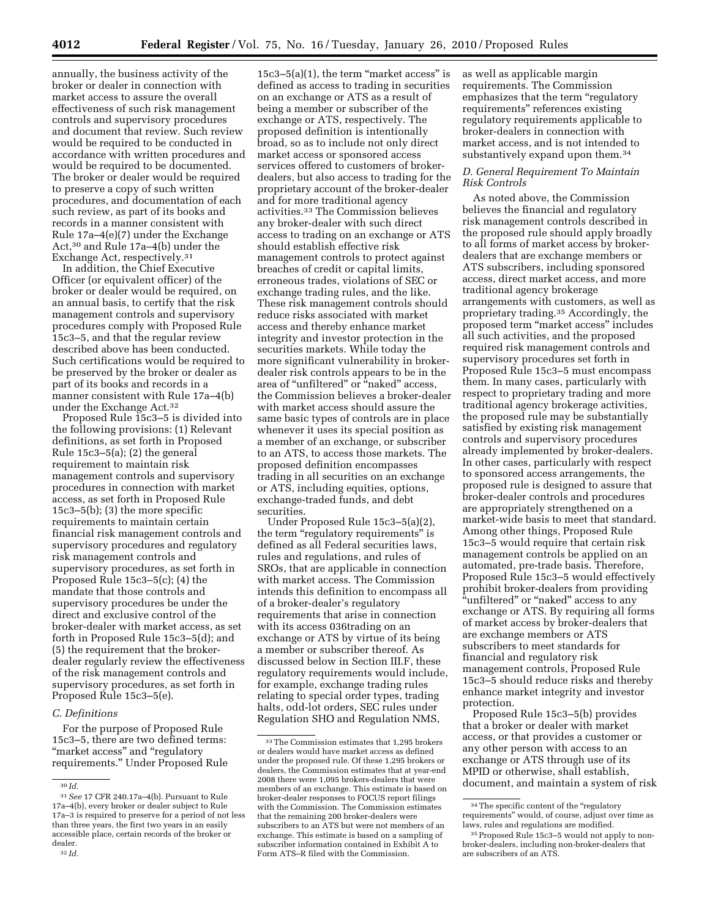annually, the business activity of the broker or dealer in connection with market access to assure the overall effectiveness of such risk management controls and supervisory procedures and document that review. Such review would be required to be conducted in accordance with written procedures and would be required to be documented. The broker or dealer would be required to preserve a copy of such written procedures, and documentation of each such review, as part of its books and records in a manner consistent with Rule 17a–4(e)(7) under the Exchange Act,30 and Rule 17a–4(b) under the Exchange Act, respectively.31

In addition, the Chief Executive Officer (or equivalent officer) of the broker or dealer would be required, on an annual basis, to certify that the risk management controls and supervisory procedures comply with Proposed Rule 15c3–5, and that the regular review described above has been conducted. Such certifications would be required to be preserved by the broker or dealer as part of its books and records in a manner consistent with Rule 17a–4(b) under the Exchange Act.32

Proposed Rule 15c3–5 is divided into the following provisions: (1) Relevant definitions, as set forth in Proposed Rule 15c3–5(a); (2) the general requirement to maintain risk management controls and supervisory procedures in connection with market access, as set forth in Proposed Rule 15c3–5(b); (3) the more specific requirements to maintain certain financial risk management controls and supervisory procedures and regulatory risk management controls and supervisory procedures, as set forth in Proposed Rule 15c3–5(c); (4) the mandate that those controls and supervisory procedures be under the direct and exclusive control of the broker-dealer with market access, as set forth in Proposed Rule 15c3–5(d); and (5) the requirement that the brokerdealer regularly review the effectiveness of the risk management controls and supervisory procedures, as set forth in Proposed Rule 15c3–5(e).

#### *C. Definitions*

For the purpose of Proposed Rule 15c3–5, there are two defined terms: "market access" and "regulatory requirements.'' Under Proposed Rule

31*See* 17 CFR 240.17a–4(b). Pursuant to Rule 17a–4(b), every broker or dealer subject to Rule 17a–3 is required to preserve for a period of not less than three years, the first two years in an easily accessible place, certain records of the broker or dealer.

 $15c3-5(a)(1)$ , the term "market access" is defined as access to trading in securities on an exchange or ATS as a result of being a member or subscriber of the exchange or ATS, respectively. The proposed definition is intentionally broad, so as to include not only direct market access or sponsored access services offered to customers of brokerdealers, but also access to trading for the proprietary account of the broker-dealer and for more traditional agency activities.33 The Commission believes any broker-dealer with such direct access to trading on an exchange or ATS should establish effective risk management controls to protect against breaches of credit or capital limits, erroneous trades, violations of SEC or exchange trading rules, and the like. These risk management controls should reduce risks associated with market access and thereby enhance market integrity and investor protection in the securities markets. While today the more significant vulnerability in brokerdealer risk controls appears to be in the area of "unfiltered" or "naked" access, the Commission believes a broker-dealer with market access should assure the same basic types of controls are in place whenever it uses its special position as a member of an exchange, or subscriber to an ATS, to access those markets. The proposed definition encompasses trading in all securities on an exchange or ATS, including equities, options, exchange-traded funds, and debt securities.

Under Proposed Rule 15c3–5(a)(2), the term "regulatory requirements" is defined as all Federal securities laws, rules and regulations, and rules of SROs, that are applicable in connection with market access. The Commission intends this definition to encompass all of a broker-dealer's regulatory requirements that arise in connection with its access 036trading on an exchange or ATS by virtue of its being a member or subscriber thereof. As discussed below in Section III.F, these regulatory requirements would include, for example, exchange trading rules relating to special order types, trading halts, odd-lot orders, SEC rules under Regulation SHO and Regulation NMS,

as well as applicable margin requirements. The Commission emphasizes that the term "regulatory" requirements'' references existing regulatory requirements applicable to broker-dealers in connection with market access, and is not intended to substantively expand upon them.34

### *D. General Requirement To Maintain Risk Controls*

As noted above, the Commission believes the financial and regulatory risk management controls described in the proposed rule should apply broadly to all forms of market access by brokerdealers that are exchange members or ATS subscribers, including sponsored access, direct market access, and more traditional agency brokerage arrangements with customers, as well as proprietary trading.35 Accordingly, the proposed term ''market access'' includes all such activities, and the proposed required risk management controls and supervisory procedures set forth in Proposed Rule 15c3–5 must encompass them. In many cases, particularly with respect to proprietary trading and more traditional agency brokerage activities, the proposed rule may be substantially satisfied by existing risk management controls and supervisory procedures already implemented by broker-dealers. In other cases, particularly with respect to sponsored access arrangements, the proposed rule is designed to assure that broker-dealer controls and procedures are appropriately strengthened on a market-wide basis to meet that standard. Among other things, Proposed Rule 15c3–5 would require that certain risk management controls be applied on an automated, pre-trade basis. Therefore, Proposed Rule 15c3–5 would effectively prohibit broker-dealers from providing 'unfiltered" or "naked" access to any exchange or ATS. By requiring all forms of market access by broker-dealers that are exchange members or ATS subscribers to meet standards for financial and regulatory risk management controls, Proposed Rule 15c3–5 should reduce risks and thereby enhance market integrity and investor protection.

Proposed Rule 15c3–5(b) provides that a broker or dealer with market access, or that provides a customer or any other person with access to an exchange or ATS through use of its MPID or otherwise, shall establish, document, and maintain a system of risk

<sup>30</sup> *Id.* 

<sup>32</sup> *Id.* 

<sup>33</sup>The Commission estimates that 1,295 brokers or dealers would have market access as defined under the proposed rule. Of these 1,295 brokers or dealers, the Commission estimates that at year-end 2008 there were 1,095 brokers-dealers that were members of an exchange. This estimate is based on broker-dealer responses to FOCUS report filings with the Commission. The Commission estimates that the remaining 200 broker-dealers were subscribers to an ATS but were not members of an exchange. This estimate is based on a sampling of subscriber information contained in Exhibit A to Form ATS–R filed with the Commission.

 $^{\rm 34}\rm{The}$  specific content of the "regulatory requirements'' would, of course, adjust over time as laws, rules and regulations are modified.

<sup>35</sup>Proposed Rule 15c3–5 would not apply to nonbroker-dealers, including non-broker-dealers that are subscribers of an ATS.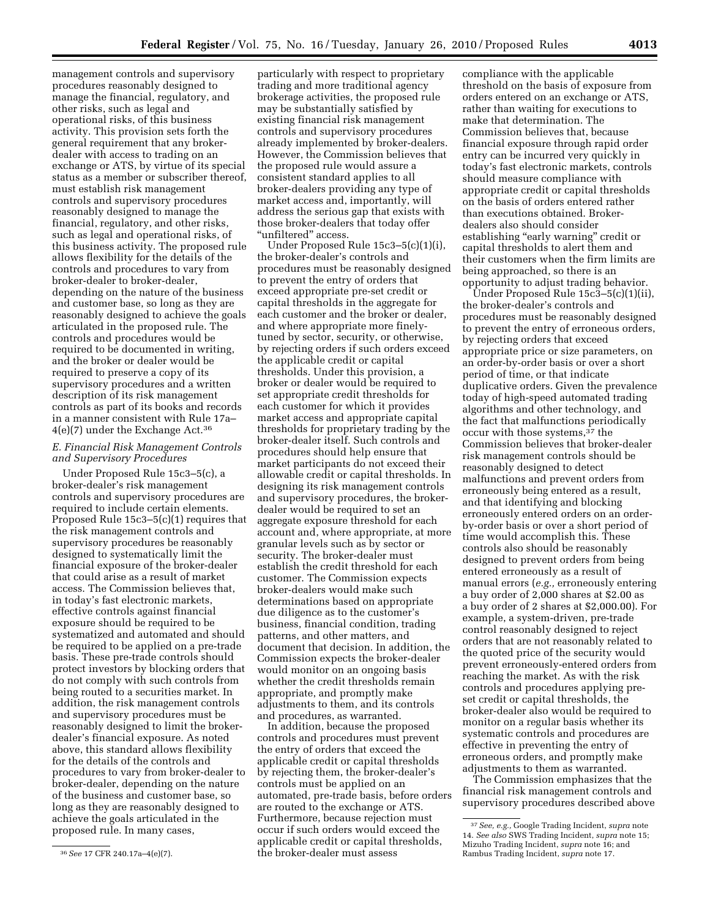management controls and supervisory procedures reasonably designed to manage the financial, regulatory, and other risks, such as legal and operational risks, of this business activity. This provision sets forth the general requirement that any brokerdealer with access to trading on an exchange or ATS, by virtue of its special status as a member or subscriber thereof, must establish risk management controls and supervisory procedures reasonably designed to manage the financial, regulatory, and other risks, such as legal and operational risks, of this business activity. The proposed rule allows flexibility for the details of the controls and procedures to vary from broker-dealer to broker-dealer, depending on the nature of the business and customer base, so long as they are reasonably designed to achieve the goals articulated in the proposed rule. The controls and procedures would be required to be documented in writing, and the broker or dealer would be required to preserve a copy of its supervisory procedures and a written description of its risk management controls as part of its books and records in a manner consistent with Rule 17a– 4(e)(7) under the Exchange Act.36

## *E. Financial Risk Management Controls and Supervisory Procedures*

Under Proposed Rule 15c3–5(c), a broker-dealer's risk management controls and supervisory procedures are required to include certain elements. Proposed Rule 15c3–5(c)(1) requires that the risk management controls and supervisory procedures be reasonably designed to systematically limit the financial exposure of the broker-dealer that could arise as a result of market access. The Commission believes that, in today's fast electronic markets, effective controls against financial exposure should be required to be systematized and automated and should be required to be applied on a pre-trade basis. These pre-trade controls should protect investors by blocking orders that do not comply with such controls from being routed to a securities market. In addition, the risk management controls and supervisory procedures must be reasonably designed to limit the brokerdealer's financial exposure. As noted above, this standard allows flexibility for the details of the controls and procedures to vary from broker-dealer to broker-dealer, depending on the nature of the business and customer base, so long as they are reasonably designed to achieve the goals articulated in the proposed rule. In many cases,

particularly with respect to proprietary trading and more traditional agency brokerage activities, the proposed rule may be substantially satisfied by existing financial risk management controls and supervisory procedures already implemented by broker-dealers. However, the Commission believes that the proposed rule would assure a consistent standard applies to all broker-dealers providing any type of market access and, importantly, will address the serious gap that exists with those broker-dealers that today offer ''unfiltered'' access.

Under Proposed Rule 15c3–5(c)(1)(i), the broker-dealer's controls and procedures must be reasonably designed to prevent the entry of orders that exceed appropriate pre-set credit or capital thresholds in the aggregate for each customer and the broker or dealer, and where appropriate more finelytuned by sector, security, or otherwise, by rejecting orders if such orders exceed the applicable credit or capital thresholds. Under this provision, a broker or dealer would be required to set appropriate credit thresholds for each customer for which it provides market access and appropriate capital thresholds for proprietary trading by the broker-dealer itself. Such controls and procedures should help ensure that market participants do not exceed their allowable credit or capital thresholds. In designing its risk management controls and supervisory procedures, the brokerdealer would be required to set an aggregate exposure threshold for each account and, where appropriate, at more granular levels such as by sector or security. The broker-dealer must establish the credit threshold for each customer. The Commission expects broker-dealers would make such determinations based on appropriate due diligence as to the customer's business, financial condition, trading patterns, and other matters, and document that decision. In addition, the Commission expects the broker-dealer would monitor on an ongoing basis whether the credit thresholds remain appropriate, and promptly make adjustments to them, and its controls and procedures, as warranted.

In addition, because the proposed controls and procedures must prevent the entry of orders that exceed the applicable credit or capital thresholds by rejecting them, the broker-dealer's controls must be applied on an automated, pre-trade basis, before orders are routed to the exchange or ATS. Furthermore, because rejection must occur if such orders would exceed the applicable credit or capital thresholds, the broker-dealer must assess

compliance with the applicable threshold on the basis of exposure from orders entered on an exchange or ATS, rather than waiting for executions to make that determination. The Commission believes that, because financial exposure through rapid order entry can be incurred very quickly in today's fast electronic markets, controls should measure compliance with appropriate credit or capital thresholds on the basis of orders entered rather than executions obtained. Brokerdealers also should consider establishing "early warning" credit or capital thresholds to alert them and their customers when the firm limits are being approached, so there is an opportunity to adjust trading behavior.

Under Proposed Rule 15c3–5(c)(1)(ii), the broker-dealer's controls and procedures must be reasonably designed to prevent the entry of erroneous orders, by rejecting orders that exceed appropriate price or size parameters, on an order-by-order basis or over a short period of time, or that indicate duplicative orders. Given the prevalence today of high-speed automated trading algorithms and other technology, and the fact that malfunctions periodically occur with those systems,<sup>37</sup> the Commission believes that broker-dealer risk management controls should be reasonably designed to detect malfunctions and prevent orders from erroneously being entered as a result, and that identifying and blocking erroneously entered orders on an orderby-order basis or over a short period of time would accomplish this. These controls also should be reasonably designed to prevent orders from being entered erroneously as a result of manual errors (*e.g.,* erroneously entering a buy order of 2,000 shares at \$2.00 as a buy order of 2 shares at \$2,000.00). For example, a system-driven, pre-trade control reasonably designed to reject orders that are not reasonably related to the quoted price of the security would prevent erroneously-entered orders from reaching the market. As with the risk controls and procedures applying preset credit or capital thresholds, the broker-dealer also would be required to monitor on a regular basis whether its systematic controls and procedures are effective in preventing the entry of erroneous orders, and promptly make adjustments to them as warranted.

The Commission emphasizes that the financial risk management controls and supervisory procedures described above

<sup>36</sup>*See* 17 CFR 240.17a–4(e)(7).

<sup>37</sup>*See, e.g.,* Google Trading Incident, *supra* note 14. *See also* SWS Trading Incident, *supra* note 15; Mizuho Trading Incident, *supra* note 16; and Rambus Trading Incident, *supra* note 17.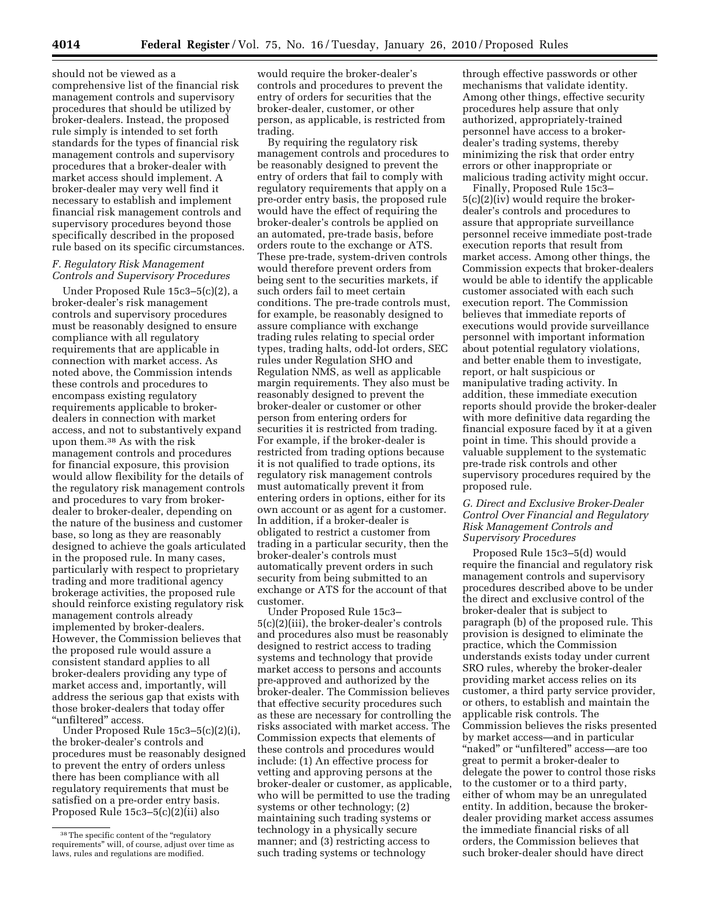should not be viewed as a comprehensive list of the financial risk management controls and supervisory procedures that should be utilized by broker-dealers. Instead, the proposed rule simply is intended to set forth standards for the types of financial risk management controls and supervisory procedures that a broker-dealer with market access should implement. A broker-dealer may very well find it necessary to establish and implement financial risk management controls and supervisory procedures beyond those specifically described in the proposed rule based on its specific circumstances.

### *F. Regulatory Risk Management Controls and Supervisory Procedures*

Under Proposed Rule 15c3–5(c)(2), a broker-dealer's risk management controls and supervisory procedures must be reasonably designed to ensure compliance with all regulatory requirements that are applicable in connection with market access. As noted above, the Commission intends these controls and procedures to encompass existing regulatory requirements applicable to brokerdealers in connection with market access, and not to substantively expand upon them.38 As with the risk management controls and procedures for financial exposure, this provision would allow flexibility for the details of the regulatory risk management controls and procedures to vary from brokerdealer to broker-dealer, depending on the nature of the business and customer base, so long as they are reasonably designed to achieve the goals articulated in the proposed rule. In many cases, particularly with respect to proprietary trading and more traditional agency brokerage activities, the proposed rule should reinforce existing regulatory risk management controls already implemented by broker-dealers. However, the Commission believes that the proposed rule would assure a consistent standard applies to all broker-dealers providing any type of market access and, importantly, will address the serious gap that exists with those broker-dealers that today offer "unfiltered" access.

Under Proposed Rule 15c3–5(c)(2)(i), the broker-dealer's controls and procedures must be reasonably designed to prevent the entry of orders unless there has been compliance with all regulatory requirements that must be satisfied on a pre-order entry basis. Proposed Rule 15c3–5(c)(2)(ii) also

would require the broker-dealer's controls and procedures to prevent the entry of orders for securities that the broker-dealer, customer, or other person, as applicable, is restricted from trading.

By requiring the regulatory risk management controls and procedures to be reasonably designed to prevent the entry of orders that fail to comply with regulatory requirements that apply on a pre-order entry basis, the proposed rule would have the effect of requiring the broker-dealer's controls be applied on an automated, pre-trade basis, before orders route to the exchange or ATS. These pre-trade, system-driven controls would therefore prevent orders from being sent to the securities markets, if such orders fail to meet certain conditions. The pre-trade controls must, for example, be reasonably designed to assure compliance with exchange trading rules relating to special order types, trading halts, odd-lot orders, SEC rules under Regulation SHO and Regulation NMS, as well as applicable margin requirements. They also must be reasonably designed to prevent the broker-dealer or customer or other person from entering orders for securities it is restricted from trading. For example, if the broker-dealer is restricted from trading options because it is not qualified to trade options, its regulatory risk management controls must automatically prevent it from entering orders in options, either for its own account or as agent for a customer. In addition, if a broker-dealer is obligated to restrict a customer from trading in a particular security, then the broker-dealer's controls must automatically prevent orders in such security from being submitted to an exchange or ATS for the account of that customer.

Under Proposed Rule 15c3– 5(c)(2)(iii), the broker-dealer's controls and procedures also must be reasonably designed to restrict access to trading systems and technology that provide market access to persons and accounts pre-approved and authorized by the broker-dealer. The Commission believes that effective security procedures such as these are necessary for controlling the risks associated with market access. The Commission expects that elements of these controls and procedures would include: (1) An effective process for vetting and approving persons at the broker-dealer or customer, as applicable, who will be permitted to use the trading systems or other technology; (2) maintaining such trading systems or technology in a physically secure manner; and (3) restricting access to such trading systems or technology

through effective passwords or other mechanisms that validate identity. Among other things, effective security procedures help assure that only authorized, appropriately-trained personnel have access to a brokerdealer's trading systems, thereby minimizing the risk that order entry errors or other inappropriate or malicious trading activity might occur.

Finally, Proposed Rule 15c3– 5(c)(2)(iv) would require the brokerdealer's controls and procedures to assure that appropriate surveillance personnel receive immediate post-trade execution reports that result from market access. Among other things, the Commission expects that broker-dealers would be able to identify the applicable customer associated with each such execution report. The Commission believes that immediate reports of executions would provide surveillance personnel with important information about potential regulatory violations, and better enable them to investigate, report, or halt suspicious or manipulative trading activity. In addition, these immediate execution reports should provide the broker-dealer with more definitive data regarding the financial exposure faced by it at a given point in time. This should provide a valuable supplement to the systematic pre-trade risk controls and other supervisory procedures required by the proposed rule.

## *G. Direct and Exclusive Broker-Dealer Control Over Financial and Regulatory Risk Management Controls and Supervisory Procedures*

Proposed Rule 15c3–5(d) would require the financial and regulatory risk management controls and supervisory procedures described above to be under the direct and exclusive control of the broker-dealer that is subject to paragraph (b) of the proposed rule. This provision is designed to eliminate the practice, which the Commission understands exists today under current SRO rules, whereby the broker-dealer providing market access relies on its customer, a third party service provider, or others, to establish and maintain the applicable risk controls. The Commission believes the risks presented by market access—and in particular "naked" or "unfiltered" access—are too great to permit a broker-dealer to delegate the power to control those risks to the customer or to a third party, either of whom may be an unregulated entity. In addition, because the brokerdealer providing market access assumes the immediate financial risks of all orders, the Commission believes that such broker-dealer should have direct

<sup>&</sup>lt;sup>38</sup>The specific content of the "regulatory requirements'' will, of course, adjust over time as laws, rules and regulations are modified.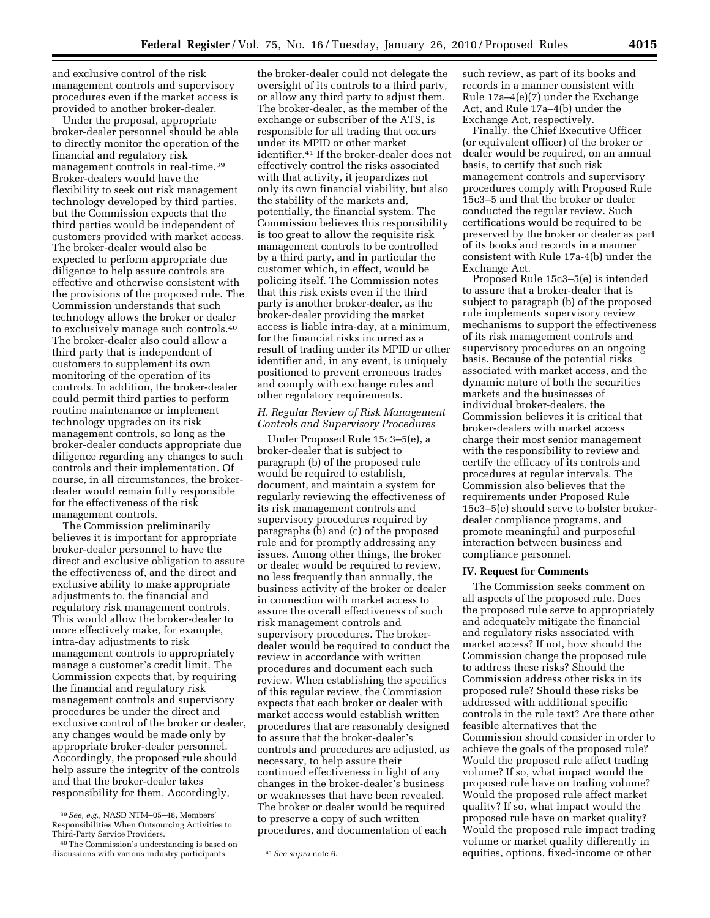and exclusive control of the risk management controls and supervisory procedures even if the market access is provided to another broker-dealer.

Under the proposal, appropriate broker-dealer personnel should be able to directly monitor the operation of the financial and regulatory risk management controls in real-time.39 Broker-dealers would have the flexibility to seek out risk management technology developed by third parties, but the Commission expects that the third parties would be independent of customers provided with market access. The broker-dealer would also be expected to perform appropriate due diligence to help assure controls are effective and otherwise consistent with the provisions of the proposed rule. The Commission understands that such technology allows the broker or dealer to exclusively manage such controls.40 The broker-dealer also could allow a third party that is independent of customers to supplement its own monitoring of the operation of its controls. In addition, the broker-dealer could permit third parties to perform routine maintenance or implement technology upgrades on its risk management controls, so long as the broker-dealer conducts appropriate due diligence regarding any changes to such controls and their implementation. Of course, in all circumstances, the brokerdealer would remain fully responsible for the effectiveness of the risk management controls.

The Commission preliminarily believes it is important for appropriate broker-dealer personnel to have the direct and exclusive obligation to assure the effectiveness of, and the direct and exclusive ability to make appropriate adjustments to, the financial and regulatory risk management controls. This would allow the broker-dealer to more effectively make, for example, intra-day adjustments to risk management controls to appropriately manage a customer's credit limit. The Commission expects that, by requiring the financial and regulatory risk management controls and supervisory procedures be under the direct and exclusive control of the broker or dealer, any changes would be made only by appropriate broker-dealer personnel. Accordingly, the proposed rule should help assure the integrity of the controls and that the broker-dealer takes responsibility for them. Accordingly,

the broker-dealer could not delegate the oversight of its controls to a third party, or allow any third party to adjust them. The broker-dealer, as the member of the exchange or subscriber of the ATS, is responsible for all trading that occurs under its MPID or other market identifier.41 If the broker-dealer does not effectively control the risks associated with that activity, it jeopardizes not only its own financial viability, but also the stability of the markets and, potentially, the financial system. The Commission believes this responsibility is too great to allow the requisite risk management controls to be controlled by a third party, and in particular the customer which, in effect, would be policing itself. The Commission notes that this risk exists even if the third party is another broker-dealer, as the broker-dealer providing the market access is liable intra-day, at a minimum, for the financial risks incurred as a result of trading under its MPID or other identifier and, in any event, is uniquely positioned to prevent erroneous trades and comply with exchange rules and other regulatory requirements.

## *H. Regular Review of Risk Management Controls and Supervisory Procedures*

Under Proposed Rule 15c3–5(e), a broker-dealer that is subject to paragraph (b) of the proposed rule would be required to establish, document, and maintain a system for regularly reviewing the effectiveness of its risk management controls and supervisory procedures required by paragraphs (b) and (c) of the proposed rule and for promptly addressing any issues. Among other things, the broker or dealer would be required to review, no less frequently than annually, the business activity of the broker or dealer in connection with market access to assure the overall effectiveness of such risk management controls and supervisory procedures. The brokerdealer would be required to conduct the review in accordance with written procedures and document each such review. When establishing the specifics of this regular review, the Commission expects that each broker or dealer with market access would establish written procedures that are reasonably designed to assure that the broker-dealer's controls and procedures are adjusted, as necessary, to help assure their continued effectiveness in light of any changes in the broker-dealer's business or weaknesses that have been revealed. The broker or dealer would be required to preserve a copy of such written procedures, and documentation of each

such review, as part of its books and records in a manner consistent with Rule 17a–4(e)(7) under the Exchange Act, and Rule 17a–4(b) under the Exchange Act, respectively.

Finally, the Chief Executive Officer (or equivalent officer) of the broker or dealer would be required, on an annual basis, to certify that such risk management controls and supervisory procedures comply with Proposed Rule 15c3–5 and that the broker or dealer conducted the regular review. Such certifications would be required to be preserved by the broker or dealer as part of its books and records in a manner consistent with Rule 17a-4(b) under the Exchange Act.

Proposed Rule 15c3-5(e) is intended to assure that a broker-dealer that is subject to paragraph (b) of the proposed rule implements supervisory review mechanisms to support the effectiveness of its risk management controls and supervisory procedures on an ongoing basis. Because of the potential risks associated with market access, and the dynamic nature of both the securities markets and the businesses of individual broker-dealers, the Commission believes it is critical that broker-dealers with market access charge their most senior management with the responsibility to review and certify the efficacy of its controls and procedures at regular intervals. The Commission also believes that the requirements under Proposed Rule 15c3–5(e) should serve to bolster brokerdealer compliance programs, and promote meaningful and purposeful interaction between business and compliance personnel.

#### **IV. Request for Comments**

The Commission seeks comment on all aspects of the proposed rule. Does the proposed rule serve to appropriately and adequately mitigate the financial and regulatory risks associated with market access? If not, how should the Commission change the proposed rule to address these risks? Should the Commission address other risks in its proposed rule? Should these risks be addressed with additional specific controls in the rule text? Are there other feasible alternatives that the Commission should consider in order to achieve the goals of the proposed rule? Would the proposed rule affect trading volume? If so, what impact would the proposed rule have on trading volume? Would the proposed rule affect market quality? If so, what impact would the proposed rule have on market quality? Would the proposed rule impact trading volume or market quality differently in equities, options, fixed-income or other

<sup>39</sup>*See, e.g.,* NASD NTM–05–48, Members' Responsibilities When Outsourcing Activities to Third-Party Service Providers.

<sup>40</sup>The Commission's understanding is based on discussions with various industry participants. 41*See supra* note 6.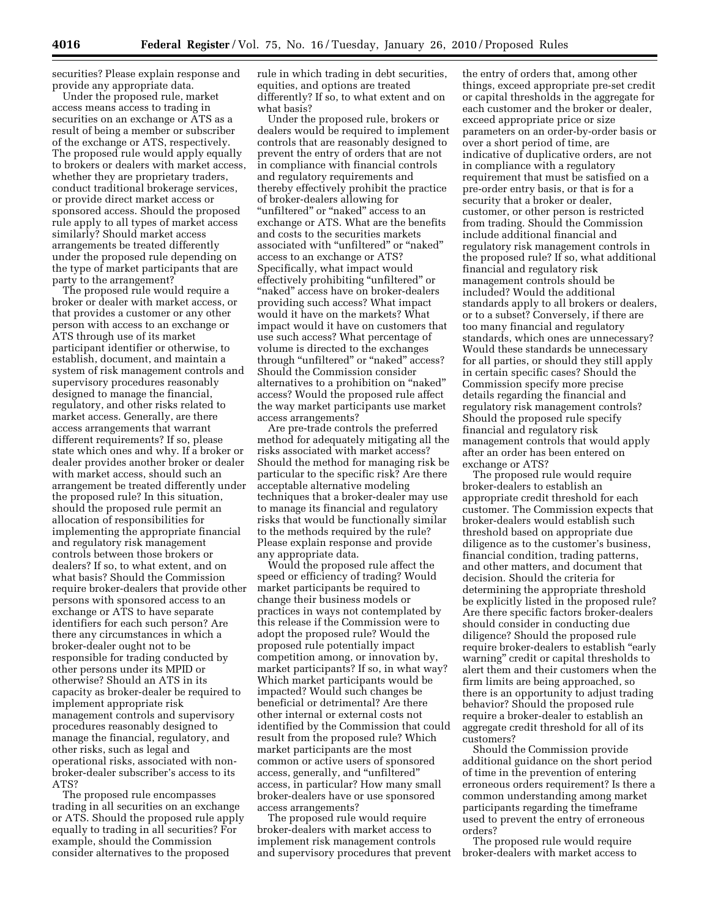securities? Please explain response and provide any appropriate data.

Under the proposed rule, market access means access to trading in securities on an exchange or ATS as a result of being a member or subscriber of the exchange or ATS, respectively. The proposed rule would apply equally to brokers or dealers with market access, whether they are proprietary traders, conduct traditional brokerage services, or provide direct market access or sponsored access. Should the proposed rule apply to all types of market access similarly? Should market access arrangements be treated differently under the proposed rule depending on the type of market participants that are party to the arrangement?

The proposed rule would require a broker or dealer with market access, or that provides a customer or any other person with access to an exchange or ATS through use of its market participant identifier or otherwise, to establish, document, and maintain a system of risk management controls and supervisory procedures reasonably designed to manage the financial, regulatory, and other risks related to market access. Generally, are there access arrangements that warrant different requirements? If so, please state which ones and why. If a broker or dealer provides another broker or dealer with market access, should such an arrangement be treated differently under the proposed rule? In this situation, should the proposed rule permit an allocation of responsibilities for implementing the appropriate financial and regulatory risk management controls between those brokers or dealers? If so, to what extent, and on what basis? Should the Commission require broker-dealers that provide other persons with sponsored access to an exchange or ATS to have separate identifiers for each such person? Are there any circumstances in which a broker-dealer ought not to be responsible for trading conducted by other persons under its MPID or otherwise? Should an ATS in its capacity as broker-dealer be required to implement appropriate risk management controls and supervisory procedures reasonably designed to manage the financial, regulatory, and other risks, such as legal and operational risks, associated with nonbroker-dealer subscriber's access to its ATS?

The proposed rule encompasses trading in all securities on an exchange or ATS. Should the proposed rule apply equally to trading in all securities? For example, should the Commission consider alternatives to the proposed

rule in which trading in debt securities, equities, and options are treated differently? If so, to what extent and on what basis?

Under the proposed rule, brokers or dealers would be required to implement controls that are reasonably designed to prevent the entry of orders that are not in compliance with financial controls and regulatory requirements and thereby effectively prohibit the practice of broker-dealers allowing for ''unfiltered'' or ''naked'' access to an exchange or ATS. What are the benefits and costs to the securities markets associated with ''unfiltered'' or ''naked'' access to an exchange or ATS? Specifically, what impact would effectively prohibiting ''unfiltered'' or "naked" access have on broker-dealers providing such access? What impact would it have on the markets? What impact would it have on customers that use such access? What percentage of volume is directed to the exchanges through "unfiltered" or "naked" access? Should the Commission consider alternatives to a prohibition on ''naked'' access? Would the proposed rule affect the way market participants use market access arrangements?

Are pre-trade controls the preferred method for adequately mitigating all the risks associated with market access? Should the method for managing risk be particular to the specific risk? Are there acceptable alternative modeling techniques that a broker-dealer may use to manage its financial and regulatory risks that would be functionally similar to the methods required by the rule? Please explain response and provide any appropriate data.

Would the proposed rule affect the speed or efficiency of trading? Would market participants be required to change their business models or practices in ways not contemplated by this release if the Commission were to adopt the proposed rule? Would the proposed rule potentially impact competition among, or innovation by, market participants? If so, in what way? Which market participants would be impacted? Would such changes be beneficial or detrimental? Are there other internal or external costs not identified by the Commission that could result from the proposed rule? Which market participants are the most common or active users of sponsored access, generally, and ''unfiltered'' access, in particular? How many small broker-dealers have or use sponsored access arrangements?

The proposed rule would require broker-dealers with market access to implement risk management controls and supervisory procedures that prevent the entry of orders that, among other things, exceed appropriate pre-set credit or capital thresholds in the aggregate for each customer and the broker or dealer, exceed appropriate price or size parameters on an order-by-order basis or over a short period of time, are indicative of duplicative orders, are not in compliance with a regulatory requirement that must be satisfied on a pre-order entry basis, or that is for a security that a broker or dealer, customer, or other person is restricted from trading. Should the Commission include additional financial and regulatory risk management controls in the proposed rule? If so, what additional financial and regulatory risk management controls should be included? Would the additional standards apply to all brokers or dealers, or to a subset? Conversely, if there are too many financial and regulatory standards, which ones are unnecessary? Would these standards be unnecessary for all parties, or should they still apply in certain specific cases? Should the Commission specify more precise details regarding the financial and regulatory risk management controls? Should the proposed rule specify financial and regulatory risk management controls that would apply after an order has been entered on exchange or ATS?

The proposed rule would require broker-dealers to establish an appropriate credit threshold for each customer. The Commission expects that broker-dealers would establish such threshold based on appropriate due diligence as to the customer's business, financial condition, trading patterns, and other matters, and document that decision. Should the criteria for determining the appropriate threshold be explicitly listed in the proposed rule? Are there specific factors broker-dealers should consider in conducting due diligence? Should the proposed rule require broker-dealers to establish ''early warning'' credit or capital thresholds to alert them and their customers when the firm limits are being approached, so there is an opportunity to adjust trading behavior? Should the proposed rule require a broker-dealer to establish an aggregate credit threshold for all of its customers?

Should the Commission provide additional guidance on the short period of time in the prevention of entering erroneous orders requirement? Is there a common understanding among market participants regarding the timeframe used to prevent the entry of erroneous orders?

The proposed rule would require broker-dealers with market access to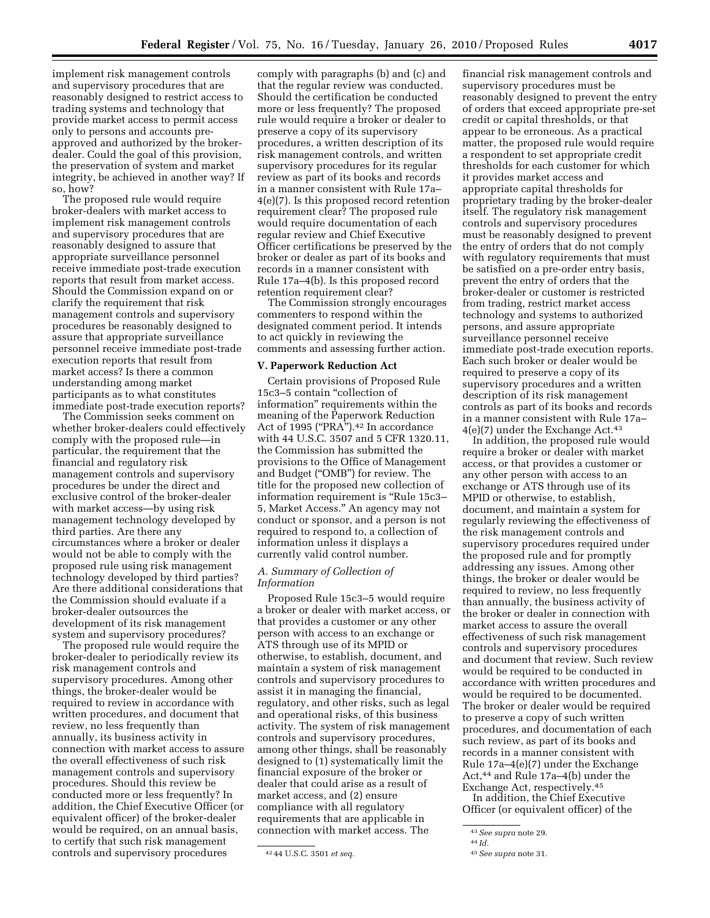implement risk management controls and supervisory procedures that are reasonably designed to restrict access to trading systems and technology that provide market access to permit access only to persons and accounts preapproved and authorized by the brokerdealer. Could the goal of this provision, the preservation of system and market integrity, be achieved in another way? If so, how?

The proposed rule would require broker-dealers with market access to implement risk management controls and supervisory procedures that are reasonably designed to assure that appropriate surveillance personnel receive immediate post-trade execution reports that result from market access. Should the Commission expand on or clarify the requirement that risk management controls and supervisory procedures be reasonably designed to assure that appropriate surveillance personnel receive immediate post-trade execution reports that result from market access? Is there a common understanding among market participants as to what constitutes immediate post-trade execution reports?

The Commission seeks comment on whether broker-dealers could effectively comply with the proposed rule—in particular, the requirement that the financial and regulatory risk management controls and supervisory procedures be under the direct and exclusive control of the broker-dealer with market access—by using risk management technology developed by third parties. Are there any circumstances where a broker or dealer would not be able to comply with the proposed rule using risk management technology developed by third parties? Are there additional considerations that the Commission should evaluate if a broker-dealer outsources the development of its risk management system and supervisory procedures?

The proposed rule would require the broker-dealer to periodically review its risk management controls and supervisory procedures. Among other things, the broker-dealer would be required to review in accordance with written procedures, and document that review, no less frequently than annually, its business activity in connection with market access to assure the overall effectiveness of such risk management controls and supervisory procedures. Should this review be conducted more or less frequently? In addition, the Chief Executive Officer (or equivalent officer) of the broker-dealer would be required, on an annual basis, to certify that such risk management controls and supervisory procedures

comply with paragraphs (b) and (c) and that the regular review was conducted. Should the certification be conducted more or less frequently? The proposed rule would require a broker or dealer to preserve a copy of its supervisory procedures, a written description of its risk management controls, and written supervisory procedures for its regular review as part of its books and records in a manner consistent with Rule 17a– 4(e)(7). Is this proposed record retention requirement clear? The proposed rule would require documentation of each regular review and Chief Executive Officer certifications be preserved by the broker or dealer as part of its books and records in a manner consistent with Rule 17a–4(b). Is this proposed record retention requirement clear?

The Commission strongly encourages commenters to respond within the designated comment period. It intends to act quickly in reviewing the comments and assessing further action.

#### **V. Paperwork Reduction Act**

Certain provisions of Proposed Rule 15c3–5 contain ''collection of information'' requirements within the meaning of the Paperwork Reduction Act of 1995 ("PRA").<sup>42</sup> In accordance with 44 U.S.C. 3507 and 5 CFR 1320.11, the Commission has submitted the provisions to the Office of Management and Budget (''OMB'') for review. The title for the proposed new collection of information requirement is ''Rule 15c3– 5, Market Access.'' An agency may not conduct or sponsor, and a person is not required to respond to, a collection of information unless it displays a currently valid control number.

#### *A. Summary of Collection of Information*

Proposed Rule 15c3–5 would require a broker or dealer with market access, or that provides a customer or any other person with access to an exchange or ATS through use of its MPID or otherwise, to establish, document, and maintain a system of risk management controls and supervisory procedures to assist it in managing the financial, regulatory, and other risks, such as legal and operational risks, of this business activity. The system of risk management controls and supervisory procedures, among other things, shall be reasonably designed to (1) systematically limit the financial exposure of the broker or dealer that could arise as a result of market access, and (2) ensure compliance with all regulatory requirements that are applicable in connection with market access. The

financial risk management controls and supervisory procedures must be reasonably designed to prevent the entry of orders that exceed appropriate pre-set credit or capital thresholds, or that appear to be erroneous. As a practical matter, the proposed rule would require a respondent to set appropriate credit thresholds for each customer for which it provides market access and appropriate capital thresholds for proprietary trading by the broker-dealer itself. The regulatory risk management controls and supervisory procedures must be reasonably designed to prevent the entry of orders that do not comply with regulatory requirements that must be satisfied on a pre-order entry basis, prevent the entry of orders that the broker-dealer or customer is restricted from trading, restrict market access technology and systems to authorized persons, and assure appropriate surveillance personnel receive immediate post-trade execution reports. Each such broker or dealer would be required to preserve a copy of its supervisory procedures and a written description of its risk management controls as part of its books and records in a manner consistent with Rule 17a– 4(e)(7) under the Exchange Act.43

In addition, the proposed rule would require a broker or dealer with market access, or that provides a customer or any other person with access to an exchange or ATS through use of its MPID or otherwise, to establish, document, and maintain a system for regularly reviewing the effectiveness of the risk management controls and supervisory procedures required under the proposed rule and for promptly addressing any issues. Among other things, the broker or dealer would be required to review, no less frequently than annually, the business activity of the broker or dealer in connection with market access to assure the overall effectiveness of such risk management controls and supervisory procedures and document that review. Such review would be required to be conducted in accordance with written procedures and would be required to be documented. The broker or dealer would be required to preserve a copy of such written procedures, and documentation of each such review, as part of its books and records in a manner consistent with Rule 17a–4(e)(7) under the Exchange Act,44 and Rule 17a–4(b) under the Exchange Act, respectively.45

In addition, the Chief Executive Officer (or equivalent officer) of the

<sup>42</sup> 44 U.S.C. 3501 *et seq.* 

<sup>43</sup>*See supra* note 29.

<sup>44</sup> *Id.* 

<sup>45</sup>*See supra* note 31.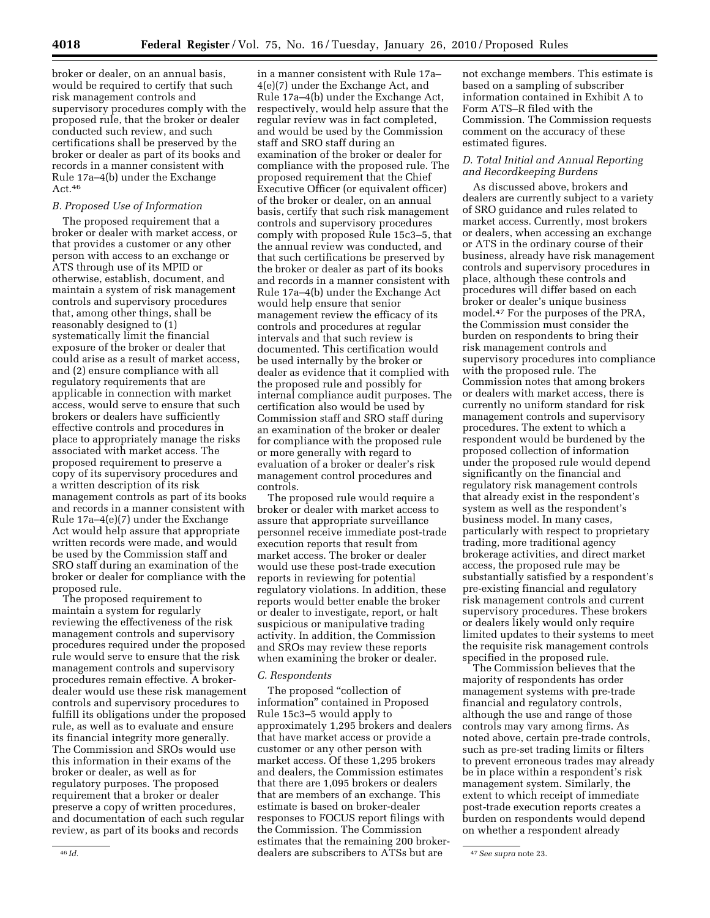broker or dealer, on an annual basis, would be required to certify that such risk management controls and supervisory procedures comply with the proposed rule, that the broker or dealer conducted such review, and such certifications shall be preserved by the broker or dealer as part of its books and records in a manner consistent with Rule 17a–4(b) under the Exchange Act.<sup>46</sup>

## *B. Proposed Use of Information*

The proposed requirement that a broker or dealer with market access, or that provides a customer or any other person with access to an exchange or ATS through use of its MPID or otherwise, establish, document, and maintain a system of risk management controls and supervisory procedures that, among other things, shall be reasonably designed to (1) systematically limit the financial exposure of the broker or dealer that could arise as a result of market access, and (2) ensure compliance with all regulatory requirements that are applicable in connection with market access, would serve to ensure that such brokers or dealers have sufficiently effective controls and procedures in place to appropriately manage the risks associated with market access. The proposed requirement to preserve a copy of its supervisory procedures and a written description of its risk management controls as part of its books and records in a manner consistent with Rule 17a–4(e)(7) under the Exchange Act would help assure that appropriate written records were made, and would be used by the Commission staff and SRO staff during an examination of the broker or dealer for compliance with the proposed rule.

The proposed requirement to maintain a system for regularly reviewing the effectiveness of the risk management controls and supervisory procedures required under the proposed rule would serve to ensure that the risk management controls and supervisory procedures remain effective. A brokerdealer would use these risk management controls and supervisory procedures to fulfill its obligations under the proposed rule, as well as to evaluate and ensure its financial integrity more generally. The Commission and SROs would use this information in their exams of the broker or dealer, as well as for regulatory purposes. The proposed requirement that a broker or dealer preserve a copy of written procedures, and documentation of each such regular review, as part of its books and records

in a manner consistent with Rule 17a– 4(e)(7) under the Exchange Act, and Rule 17a–4(b) under the Exchange Act, respectively, would help assure that the regular review was in fact completed, and would be used by the Commission staff and SRO staff during an examination of the broker or dealer for compliance with the proposed rule. The proposed requirement that the Chief Executive Officer (or equivalent officer) of the broker or dealer, on an annual basis, certify that such risk management controls and supervisory procedures comply with proposed Rule 15c3–5, that the annual review was conducted, and that such certifications be preserved by the broker or dealer as part of its books and records in a manner consistent with Rule 17a–4(b) under the Exchange Act would help ensure that senior management review the efficacy of its controls and procedures at regular intervals and that such review is documented. This certification would be used internally by the broker or dealer as evidence that it complied with the proposed rule and possibly for internal compliance audit purposes. The certification also would be used by Commission staff and SRO staff during an examination of the broker or dealer for compliance with the proposed rule or more generally with regard to evaluation of a broker or dealer's risk management control procedures and

controls. The proposed rule would require a broker or dealer with market access to assure that appropriate surveillance personnel receive immediate post-trade execution reports that result from market access. The broker or dealer would use these post-trade execution reports in reviewing for potential regulatory violations. In addition, these reports would better enable the broker or dealer to investigate, report, or halt suspicious or manipulative trading activity. In addition, the Commission and SROs may review these reports when examining the broker or dealer.

## *C. Respondents*

46 *Id.* 47*See supra* note 23. dealers are subscribers to ATSs but are The proposed ''collection of information'' contained in Proposed Rule 15c3–5 would apply to approximately 1,295 brokers and dealers that have market access or provide a customer or any other person with market access. Of these 1,295 brokers and dealers, the Commission estimates that there are 1,095 brokers or dealers that are members of an exchange. This estimate is based on broker-dealer responses to FOCUS report filings with the Commission. The Commission estimates that the remaining 200 broker-

not exchange members. This estimate is based on a sampling of subscriber information contained in Exhibit A to Form ATS–R filed with the Commission. The Commission requests comment on the accuracy of these estimated figures.

### *D. Total Initial and Annual Reporting and Recordkeeping Burdens*

As discussed above, brokers and dealers are currently subject to a variety of SRO guidance and rules related to market access. Currently, most brokers or dealers, when accessing an exchange or ATS in the ordinary course of their business, already have risk management controls and supervisory procedures in place, although these controls and procedures will differ based on each broker or dealer's unique business model.47 For the purposes of the PRA, the Commission must consider the burden on respondents to bring their risk management controls and supervisory procedures into compliance with the proposed rule. The Commission notes that among brokers or dealers with market access, there is currently no uniform standard for risk management controls and supervisory procedures. The extent to which a respondent would be burdened by the proposed collection of information under the proposed rule would depend significantly on the financial and regulatory risk management controls that already exist in the respondent's system as well as the respondent's business model. In many cases, particularly with respect to proprietary trading, more traditional agency brokerage activities, and direct market access, the proposed rule may be substantially satisfied by a respondent's pre-existing financial and regulatory risk management controls and current supervisory procedures. These brokers or dealers likely would only require limited updates to their systems to meet the requisite risk management controls specified in the proposed rule.

The Commission believes that the majority of respondents has order management systems with pre-trade financial and regulatory controls, although the use and range of those controls may vary among firms. As noted above, certain pre-trade controls, such as pre-set trading limits or filters to prevent erroneous trades may already be in place within a respondent's risk management system. Similarly, the extent to which receipt of immediate post-trade execution reports creates a burden on respondents would depend on whether a respondent already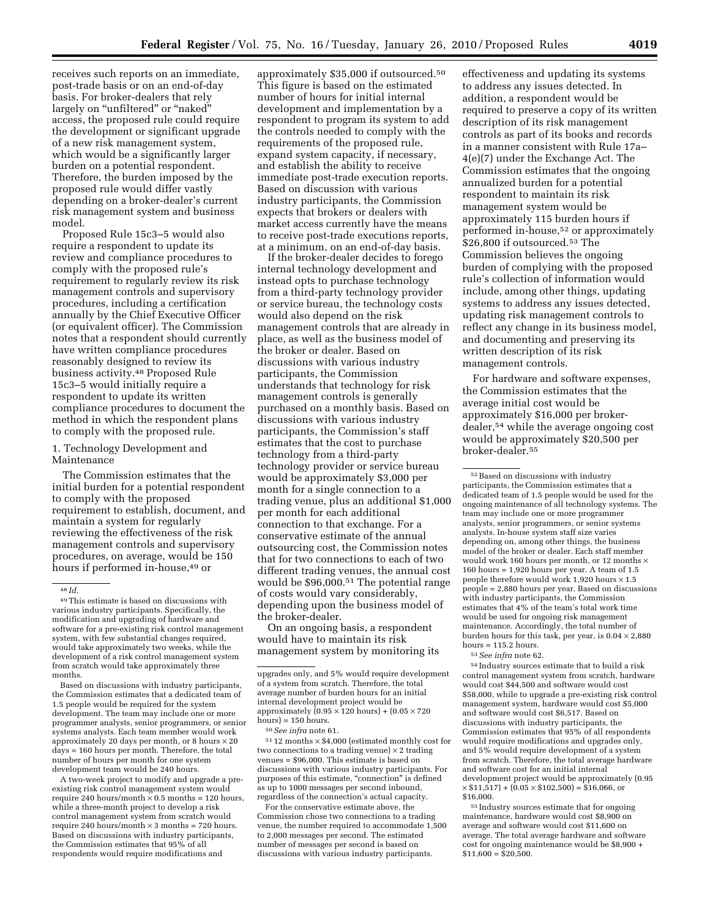receives such reports on an immediate, post-trade basis or on an end-of-day basis. For broker-dealers that rely largely on "unfiltered" or "naked" access, the proposed rule could require the development or significant upgrade of a new risk management system, which would be a significantly larger burden on a potential respondent. Therefore, the burden imposed by the proposed rule would differ vastly depending on a broker-dealer's current risk management system and business model.

Proposed Rule 15c3–5 would also require a respondent to update its review and compliance procedures to comply with the proposed rule's requirement to regularly review its risk management controls and supervisory procedures, including a certification annually by the Chief Executive Officer (or equivalent officer). The Commission notes that a respondent should currently have written compliance procedures reasonably designed to review its business activity.48 Proposed Rule 15c3–5 would initially require a respondent to update its written compliance procedures to document the method in which the respondent plans to comply with the proposed rule.

#### 1. Technology Development and Maintenance

The Commission estimates that the initial burden for a potential respondent to comply with the proposed requirement to establish, document, and maintain a system for regularly reviewing the effectiveness of the risk management controls and supervisory procedures, on average, would be 150 hours if performed in-house,<sup>49</sup> or

49This estimate is based on discussions with various industry participants. Specifically, the modification and upgrading of hardware and software for a pre-existing risk control management system, with few substantial changes required, would take approximately two weeks, while the development of a risk control management system from scratch would take approximately three months.

Based on discussions with industry participants, the Commission estimates that a dedicated team of 1.5 people would be required for the system development. The team may include one or more programmer analysts, senior programmers, or senior systems analysts. Each team member would work approximately 20 days per month, or 8 hours  $\times$  20 days = 160 hours per month. Therefore, the total number of hours per month for one system development team would be 240 hours.

A two-week project to modify and upgrade a preexisting risk control management system would require 240 hours/month  $\times$  0.5 months = 120 hours, while a three-month project to develop a risk control management system from scratch would require 240 hours/month  $\times$  3 months = 720 hours. Based on discussions with industry participants, the Commission estimates that 95% of all respondents would require modifications and

approximately \$35,000 if outsourced.50 This figure is based on the estimated number of hours for initial internal development and implementation by a respondent to program its system to add the controls needed to comply with the requirements of the proposed rule, expand system capacity, if necessary, and establish the ability to receive immediate post-trade execution reports. Based on discussion with various industry participants, the Commission expects that brokers or dealers with market access currently have the means to receive post-trade executions reports, at a minimum, on an end-of-day basis.

If the broker-dealer decides to forego internal technology development and instead opts to purchase technology from a third-party technology provider or service bureau, the technology costs would also depend on the risk management controls that are already in place, as well as the business model of the broker or dealer. Based on discussions with various industry participants, the Commission understands that technology for risk management controls is generally purchased on a monthly basis. Based on discussions with various industry participants, the Commission's staff estimates that the cost to purchase technology from a third-party technology provider or service bureau would be approximately \$3,000 per month for a single connection to a trading venue, plus an additional \$1,000 per month for each additional connection to that exchange. For a conservative estimate of the annual outsourcing cost, the Commission notes that for two connections to each of two different trading venues, the annual cost would be \$96,000.51 The potential range of costs would vary considerably, depending upon the business model of the broker-dealer.

On an ongoing basis, a respondent would have to maintain its risk management system by monitoring its

 $51 12$  months  $\times$  \$4,000 (estimated monthly cost for two connections to a trading venue)  $\times$  2 trading venues = \$96,000. This estimate is based on discussions with various industry participants. For purposes of this estimate, "connection" is defined as up to 1000 messages per second inbound, regardless of the connection's actual capacity.

For the conservative estimate above, the Commission chose two connections to a trading venue, the number required to accommodate 1,500 to 2,000 messages per second. The estimated number of messages per second is based on discussions with various industry participants.

effectiveness and updating its systems to address any issues detected. In addition, a respondent would be required to preserve a copy of its written description of its risk management controls as part of its books and records in a manner consistent with Rule 17a– 4(e)(7) under the Exchange Act. The Commission estimates that the ongoing annualized burden for a potential respondent to maintain its risk management system would be approximately 115 burden hours if performed in-house,52 or approximately \$26,800 if outsourced.<sup>53</sup> The Commission believes the ongoing burden of complying with the proposed rule's collection of information would include, among other things, updating systems to address any issues detected, updating risk management controls to reflect any change in its business model, and documenting and preserving its written description of its risk management controls.

For hardware and software expenses, the Commission estimates that the average initial cost would be approximately \$16,000 per brokerdealer,54 while the average ongoing cost would be approximately \$20,500 per broker-dealer.55

54 Industry sources estimate that to build a risk control management system from scratch, hardware would cost \$44,500 and software would cost \$58,000, while to upgrade a pre-existing risk control management system, hardware would cost \$5,000 and software would cost \$6,517. Based on discussions with industry participants, the Commission estimates that 95% of all respondents would require modifications and upgrades only, and 5% would require development of a system from scratch. Therefore, the total average hardware and software cost for an initial internal development project would be approximately (0.95  $\times$  \$11,517) + (0.05  $\times$  \$102,500) = \$16,066, or \$16,000.

55 Industry sources estimate that for ongoing maintenance, hardware would cost \$8,900 on average and software would cost \$11,600 on average. The total average hardware and software cost for ongoing maintenance would be \$8,900 +  $$11,600 = $20,500.$ 

<sup>48</sup> *Id.* 

upgrades only, and 5% would require development of a system from scratch. Therefore, the total average number of burden hours for an initial internal development project would be approximately  $(0.95 \times 120 \text{ hours}) + (0.05 \times 720$  $hours$ ) = 150 hours.

<sup>50</sup>*See infra* note 61.

 $^{52}\rm\, Based$  on discussions with industry participants, the Commission estimates that a dedicated team of 1.5 people would be used for the ongoing maintenance of all technology systems. The team may include one or more programmer analysts, senior programmers, or senior systems analysts. In-house system staff size varies depending on, among other things, the business model of the broker or dealer. Each staff member would work 160 hours per month, or 12 months  $\times$ 160 hours = 1,920 hours per year. A team of 1.5 people therefore would work 1,920 hours  $\times\,1.5$ people = 2,880 hours per year. Based on discussions with industry participants, the Commission estimates that 4% of the team's total work time would be used for ongoing risk management maintenance. Accordingly, the total number of burden hours for this task, per year, is  $0.04 \times 2,880$ hours = 115.2 hours.

<sup>53</sup>*See infra* note 62.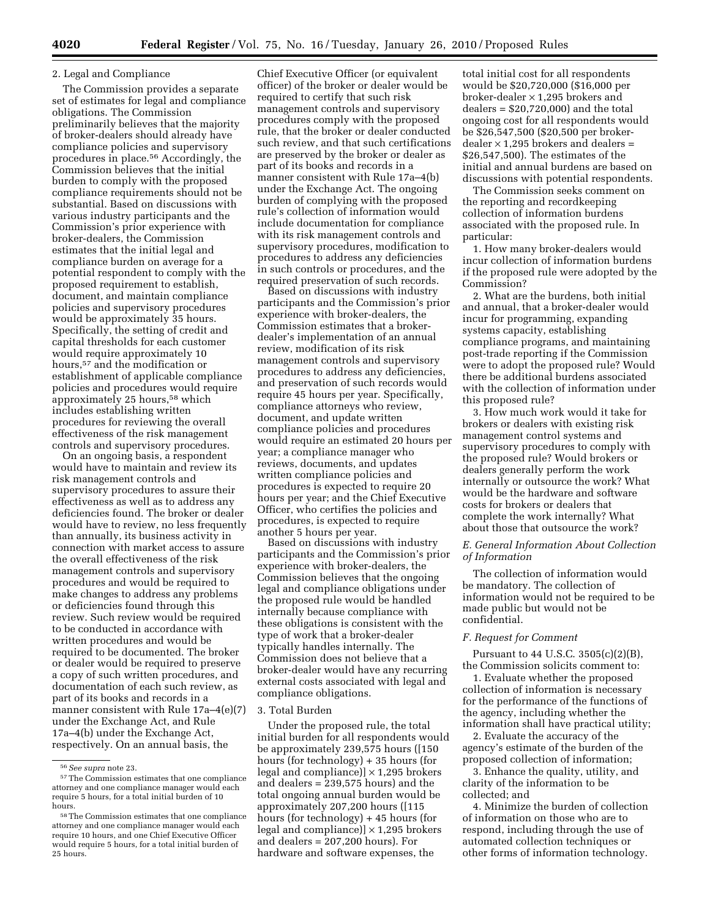#### 2. Legal and Compliance

The Commission provides a separate set of estimates for legal and compliance obligations. The Commission preliminarily believes that the majority of broker-dealers should already have compliance policies and supervisory procedures in place.56 Accordingly, the Commission believes that the initial burden to comply with the proposed compliance requirements should not be substantial. Based on discussions with various industry participants and the Commission's prior experience with broker-dealers, the Commission estimates that the initial legal and compliance burden on average for a potential respondent to comply with the proposed requirement to establish, document, and maintain compliance policies and supervisory procedures would be approximately 35 hours. Specifically, the setting of credit and capital thresholds for each customer would require approximately 10 hours,57 and the modification or establishment of applicable compliance policies and procedures would require approximately 25 hours,58 which includes establishing written procedures for reviewing the overall effectiveness of the risk management controls and supervisory procedures.

On an ongoing basis, a respondent would have to maintain and review its risk management controls and supervisory procedures to assure their effectiveness as well as to address any deficiencies found. The broker or dealer would have to review, no less frequently than annually, its business activity in connection with market access to assure the overall effectiveness of the risk management controls and supervisory procedures and would be required to make changes to address any problems or deficiencies found through this review. Such review would be required to be conducted in accordance with written procedures and would be required to be documented. The broker or dealer would be required to preserve a copy of such written procedures, and documentation of each such review, as part of its books and records in a manner consistent with Rule 17a–4(e)(7) under the Exchange Act, and Rule 17a–4(b) under the Exchange Act, respectively. On an annual basis, the

Chief Executive Officer (or equivalent officer) of the broker or dealer would be required to certify that such risk management controls and supervisory procedures comply with the proposed rule, that the broker or dealer conducted such review, and that such certifications are preserved by the broker or dealer as part of its books and records in a manner consistent with Rule 17a–4(b) under the Exchange Act. The ongoing burden of complying with the proposed rule's collection of information would include documentation for compliance with its risk management controls and supervisory procedures, modification to procedures to address any deficiencies in such controls or procedures, and the required preservation of such records.

Based on discussions with industry participants and the Commission's prior experience with broker-dealers, the Commission estimates that a brokerdealer's implementation of an annual review, modification of its risk management controls and supervisory procedures to address any deficiencies, and preservation of such records would require 45 hours per year. Specifically, compliance attorneys who review, document, and update written compliance policies and procedures would require an estimated 20 hours per year; a compliance manager who reviews, documents, and updates written compliance policies and procedures is expected to require 20 hours per year; and the Chief Executive Officer, who certifies the policies and procedures, is expected to require another 5 hours per year.

Based on discussions with industry participants and the Commission's prior experience with broker-dealers, the Commission believes that the ongoing legal and compliance obligations under the proposed rule would be handled internally because compliance with these obligations is consistent with the type of work that a broker-dealer typically handles internally. The Commission does not believe that a broker-dealer would have any recurring external costs associated with legal and compliance obligations.

#### 3. Total Burden

Under the proposed rule, the total initial burden for all respondents would be approximately 239,575 hours ([150 hours (for technology) + 35 hours (for legal and compliance)]  $\times$  1,295 brokers and dealers = 239,575 hours) and the total ongoing annual burden would be approximately 207,200 hours ([115 hours (for technology) + 45 hours (for legal and compliance)]  $\times$  1,295 brokers and dealers = 207,200 hours). For hardware and software expenses, the

total initial cost for all respondents would be \$20,720,000 (\$16,000 per broker-dealer × 1,295 brokers and dealers =  $$20,720,000$  and the total ongoing cost for all respondents would be \$26,547,500 (\$20,500 per brokerdealer  $\times$  1,295 brokers and dealers = \$26,547,500). The estimates of the initial and annual burdens are based on discussions with potential respondents.

The Commission seeks comment on the reporting and recordkeeping collection of information burdens associated with the proposed rule. In particular:

1. How many broker-dealers would incur collection of information burdens if the proposed rule were adopted by the Commission?

2. What are the burdens, both initial and annual, that a broker-dealer would incur for programming, expanding systems capacity, establishing compliance programs, and maintaining post-trade reporting if the Commission were to adopt the proposed rule? Would there be additional burdens associated with the collection of information under this proposed rule?

3. How much work would it take for brokers or dealers with existing risk management control systems and supervisory procedures to comply with the proposed rule? Would brokers or dealers generally perform the work internally or outsource the work? What would be the hardware and software costs for brokers or dealers that complete the work internally? What about those that outsource the work?

## *E. General Information About Collection of Information*

The collection of information would be mandatory. The collection of information would not be required to be made public but would not be confidential.

#### *F. Request for Comment*

Pursuant to 44 U.S.C. 3505(c)(2)(B), the Commission solicits comment to:

1. Evaluate whether the proposed collection of information is necessary for the performance of the functions of the agency, including whether the information shall have practical utility;

2. Evaluate the accuracy of the agency's estimate of the burden of the proposed collection of information;

3. Enhance the quality, utility, and clarity of the information to be collected; and

4. Minimize the burden of collection of information on those who are to respond, including through the use of automated collection techniques or other forms of information technology.

<sup>56</sup>*See supra* note 23.

<sup>57</sup>The Commission estimates that one compliance attorney and one compliance manager would each require 5 hours, for a total initial burden of 10 hours.

<sup>58</sup>The Commission estimates that one compliance attorney and one compliance manager would each require 10 hours, and one Chief Executive Officer would require 5 hours, for a total initial burden of 25 hours.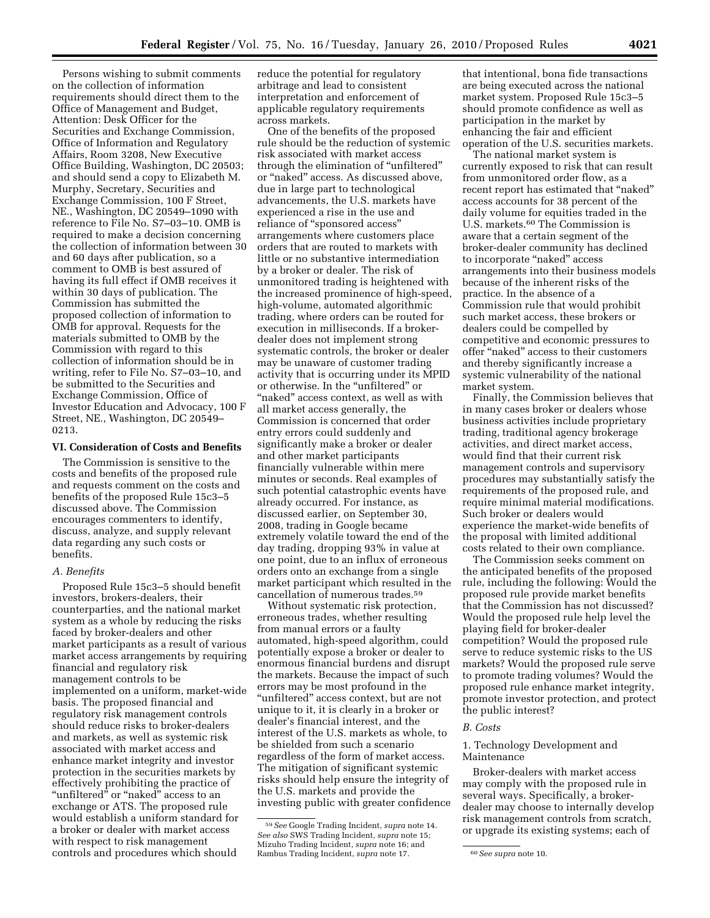Persons wishing to submit comments on the collection of information requirements should direct them to the Office of Management and Budget, Attention: Desk Officer for the Securities and Exchange Commission, Office of Information and Regulatory Affairs, Room 3208, New Executive Office Building, Washington, DC 20503; and should send a copy to Elizabeth M. Murphy, Secretary, Securities and Exchange Commission, 100 F Street, NE., Washington, DC 20549–1090 with reference to File No. S7–03–10. OMB is required to make a decision concerning the collection of information between 30 and 60 days after publication, so a comment to OMB is best assured of having its full effect if OMB receives it within 30 days of publication. The Commission has submitted the proposed collection of information to OMB for approval. Requests for the materials submitted to OMB by the Commission with regard to this collection of information should be in writing, refer to File No. S7–03–10, and be submitted to the Securities and Exchange Commission, Office of Investor Education and Advocacy, 100 F Street, NE., Washington, DC 20549– 0213.

## **VI. Consideration of Costs and Benefits**

The Commission is sensitive to the costs and benefits of the proposed rule and requests comment on the costs and benefits of the proposed Rule 15c3–5 discussed above. The Commission encourages commenters to identify, discuss, analyze, and supply relevant data regarding any such costs or benefits.

#### *A. Benefits*

Proposed Rule 15c3–5 should benefit investors, brokers-dealers, their counterparties, and the national market system as a whole by reducing the risks faced by broker-dealers and other market participants as a result of various market access arrangements by requiring financial and regulatory risk management controls to be implemented on a uniform, market-wide basis. The proposed financial and regulatory risk management controls should reduce risks to broker-dealers and markets, as well as systemic risk associated with market access and enhance market integrity and investor protection in the securities markets by effectively prohibiting the practice of ''unfiltered'' or ''naked'' access to an exchange or ATS. The proposed rule would establish a uniform standard for a broker or dealer with market access with respect to risk management controls and procedures which should

reduce the potential for regulatory arbitrage and lead to consistent interpretation and enforcement of applicable regulatory requirements across markets.

One of the benefits of the proposed rule should be the reduction of systemic risk associated with market access through the elimination of ''unfiltered'' or ''naked'' access. As discussed above, due in large part to technological advancements, the U.S. markets have experienced a rise in the use and reliance of ''sponsored access'' arrangements where customers place orders that are routed to markets with little or no substantive intermediation by a broker or dealer. The risk of unmonitored trading is heightened with the increased prominence of high-speed, high-volume, automated algorithmic trading, where orders can be routed for execution in milliseconds. If a brokerdealer does not implement strong systematic controls, the broker or dealer may be unaware of customer trading activity that is occurring under its MPID or otherwise. In the ''unfiltered'' or ''naked'' access context, as well as with all market access generally, the Commission is concerned that order entry errors could suddenly and significantly make a broker or dealer and other market participants financially vulnerable within mere minutes or seconds. Real examples of such potential catastrophic events have already occurred. For instance, as discussed earlier, on September 30, 2008, trading in Google became extremely volatile toward the end of the day trading, dropping 93% in value at one point, due to an influx of erroneous orders onto an exchange from a single market participant which resulted in the cancellation of numerous trades.59

Without systematic risk protection, erroneous trades, whether resulting from manual errors or a faulty automated, high-speed algorithm, could potentially expose a broker or dealer to enormous financial burdens and disrupt the markets. Because the impact of such errors may be most profound in the ''unfiltered'' access context, but are not unique to it, it is clearly in a broker or dealer's financial interest, and the interest of the U.S. markets as whole, to be shielded from such a scenario regardless of the form of market access. The mitigation of significant systemic risks should help ensure the integrity of the U.S. markets and provide the investing public with greater confidence

that intentional, bona fide transactions are being executed across the national market system. Proposed Rule 15c3–5 should promote confidence as well as participation in the market by enhancing the fair and efficient operation of the U.S. securities markets.

The national market system is currently exposed to risk that can result from unmonitored order flow, as a recent report has estimated that "naked" access accounts for 38 percent of the daily volume for equities traded in the U.S. markets.60 The Commission is aware that a certain segment of the broker-dealer community has declined to incorporate "naked" access arrangements into their business models because of the inherent risks of the practice. In the absence of a Commission rule that would prohibit such market access, these brokers or dealers could be compelled by competitive and economic pressures to offer ''naked'' access to their customers and thereby significantly increase a systemic vulnerability of the national market system.

Finally, the Commission believes that in many cases broker or dealers whose business activities include proprietary trading, traditional agency brokerage activities, and direct market access, would find that their current risk management controls and supervisory procedures may substantially satisfy the requirements of the proposed rule, and require minimal material modifications. Such broker or dealers would experience the market-wide benefits of the proposal with limited additional costs related to their own compliance.

The Commission seeks comment on the anticipated benefits of the proposed rule, including the following: Would the proposed rule provide market benefits that the Commission has not discussed? Would the proposed rule help level the playing field for broker-dealer competition? Would the proposed rule serve to reduce systemic risks to the US markets? Would the proposed rule serve to promote trading volumes? Would the proposed rule enhance market integrity, promote investor protection, and protect the public interest?

### *B. Costs*

### 1. Technology Development and Maintenance

Broker-dealers with market access may comply with the proposed rule in several ways. Specifically, a brokerdealer may choose to internally develop risk management controls from scratch, or upgrade its existing systems; each of

<sup>59</sup>*See* Google Trading Incident, *supra* note 14. *See also* SWS Trading Incident, *supra* note 15; Mizuho Trading Incident, *supra* note 16; and Rambus Trading Incident, *supra* note 17. 60*See supra* note 10.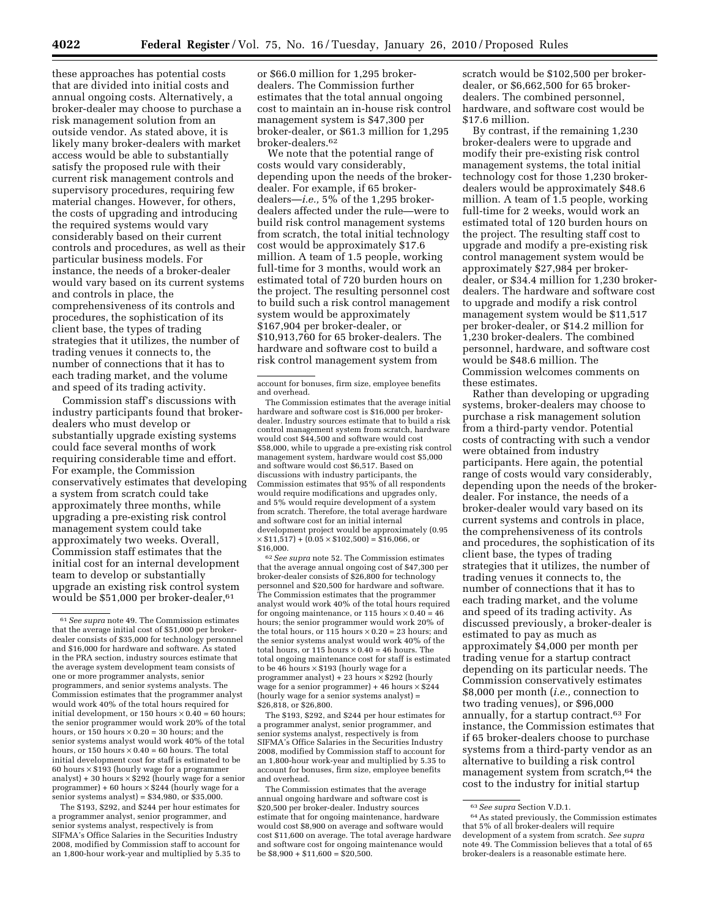these approaches has potential costs that are divided into initial costs and annual ongoing costs. Alternatively, a broker-dealer may choose to purchase a risk management solution from an outside vendor. As stated above, it is likely many broker-dealers with market access would be able to substantially satisfy the proposed rule with their current risk management controls and supervisory procedures, requiring few material changes. However, for others, the costs of upgrading and introducing the required systems would vary considerably based on their current controls and procedures, as well as their particular business models. For instance, the needs of a broker-dealer would vary based on its current systems and controls in place, the comprehensiveness of its controls and procedures, the sophistication of its client base, the types of trading strategies that it utilizes, the number of trading venues it connects to, the number of connections that it has to each trading market, and the volume and speed of its trading activity.

Commission staff's discussions with industry participants found that brokerdealers who must develop or substantially upgrade existing systems could face several months of work requiring considerable time and effort. For example, the Commission conservatively estimates that developing a system from scratch could take approximately three months, while upgrading a pre-existing risk control management system could take approximately two weeks. Overall, Commission staff estimates that the initial cost for an internal development team to develop or substantially upgrade an existing risk control system would be \$51,000 per broker-dealer,<sup>61</sup>

The \$193, \$292, and \$244 per hour estimates for a programmer analyst, senior programmer, and senior systems analyst, respectively is from SIFMA's Office Salaries in the Securities Industry 2008, modified by Commission staff to account for an 1,800-hour work-year and multiplied by 5.35 to

or \$66.0 million for 1,295 brokerdealers. The Commission further estimates that the total annual ongoing cost to maintain an in-house risk control management system is \$47,300 per broker-dealer, or \$61.3 million for 1,295 broker-dealers.62

We note that the potential range of costs would vary considerably, depending upon the needs of the brokerdealer. For example, if 65 brokerdealers—*i.e.,* 5% of the 1,295 brokerdealers affected under the rule—were to build risk control management systems from scratch, the total initial technology cost would be approximately \$17.6 million. A team of 1.5 people, working full-time for 3 months, would work an estimated total of 720 burden hours on the project. The resulting personnel cost to build such a risk control management system would be approximately \$167,904 per broker-dealer, or \$10,913,760 for 65 broker-dealers. The hardware and software cost to build a risk control management system from

The Commission estimates that the average initial hardware and software cost is \$16,000 per brokerdealer. Industry sources estimate that to build a risk control management system from scratch, hardware would cost \$44,500 and software would cost \$58,000, while to upgrade a pre-existing risk control management system, hardware would cost \$5,000 and software would cost \$6,517. Based on discussions with industry participants, the Commission estimates that 95% of all respondents would require modifications and upgrades only, and 5% would require development of a system from scratch. Therefore, the total average hardware and software cost for an initial internal development project would be approximately (0.95  $\times$  \$11,517) + (0.05  $\times$  \$102,500) = \$16,066, or \$16,000.

62*See supra* note 52. The Commission estimates that the average annual ongoing cost of \$47,300 per broker-dealer consists of \$26,800 for technology personnel and \$20,500 for hardware and software. The Commission estimates that the programmer analyst would work 40% of the total hours required for ongoing maintenance, or 115 hours  $\times$  0.40 = 46 hours; the senior programmer would work 20% of the total hours, or 115 hours  $\times$  0.20 = 23 hours; and the senior systems analyst would work 40% of the total hours, or 115 hours  $\times$  0.40 = 46 hours. The total ongoing maintenance cost for staff is estimated to be  $46$  hours  $\times$  \$193 (hourly wage for a programmer analyst) + 23 hours  $\times$  \$292 (hourly wage for a senior programmer) + 46 hours  $\times$  \$244 (hourly wage for a senior systems analyst) = \$26,818, or \$26,800.

The \$193, \$292, and \$244 per hour estimates for a programmer analyst, senior programmer, and senior systems analyst, respectively is from SIFMA's Office Salaries in the Securities Industry 2008, modified by Commission staff to account for an 1,800-hour work-year and multiplied by 5.35 to account for bonuses, firm size, employee benefits and overhead.

The Commission estimates that the average annual ongoing hardware and software cost is \$20,500 per broker-dealer. Industry sources estimate that for ongoing maintenance, hardware would cost \$8,900 on average and software would cost \$11,600 on average. The total average hardware and software cost for ongoing maintenance would be  $$8,900 + $11,600 = $20,500$ .

scratch would be \$102,500 per brokerdealer, or \$6,662,500 for 65 brokerdealers. The combined personnel, hardware, and software cost would be \$17.6 million.

By contrast, if the remaining 1,230 broker-dealers were to upgrade and modify their pre-existing risk control management systems, the total initial technology cost for those 1,230 brokerdealers would be approximately \$48.6 million. A team of 1.5 people, working full-time for 2 weeks, would work an estimated total of 120 burden hours on the project. The resulting staff cost to upgrade and modify a pre-existing risk control management system would be approximately \$27,984 per brokerdealer, or \$34.4 million for 1,230 brokerdealers. The hardware and software cost to upgrade and modify a risk control management system would be \$11,517 per broker-dealer, or \$14.2 million for 1,230 broker-dealers. The combined personnel, hardware, and software cost would be \$48.6 million. The Commission welcomes comments on these estimates.

Rather than developing or upgrading systems, broker-dealers may choose to purchase a risk management solution from a third-party vendor. Potential costs of contracting with such a vendor were obtained from industry participants. Here again, the potential range of costs would vary considerably, depending upon the needs of the brokerdealer. For instance, the needs of a broker-dealer would vary based on its current systems and controls in place, the comprehensiveness of its controls and procedures, the sophistication of its client base, the types of trading strategies that it utilizes, the number of trading venues it connects to, the number of connections that it has to each trading market, and the volume and speed of its trading activity. As discussed previously, a broker-dealer is estimated to pay as much as approximately \$4,000 per month per trading venue for a startup contract depending on its particular needs. The Commission conservatively estimates \$8,000 per month (*i.e.,* connection to two trading venues), or \$96,000 annually, for a startup contract.63 For instance, the Commission estimates that if 65 broker-dealers choose to purchase systems from a third-party vendor as an alternative to building a risk control management system from scratch,<sup>64</sup> the cost to the industry for initial startup

<sup>61</sup>*See supra* note 49. The Commission estimates that the average initial cost of \$51,000 per brokerdealer consists of \$35,000 for technology personnel and \$16,000 for hardware and software. As stated in the PRA section, industry sources estimate that the average system development team consists of one or more programmer analysts, senior programmers, and senior systems analysts. The Commission estimates that the programmer analyst would work 40% of the total hours required for initial development, or 150 hours  $\times$  0.40 = 60 hours; the senior programmer would work 20% of the total hours, or  $150$  hours  $\times$  0.20 = 30 hours; and the senior systems analyst would work 40% of the total hours, or 150 hours  $\times$  0.40 = 60 hours. The total initial development cost for staff is estimated to be 60 hours  $\times$  \$193 (hourly wage for a programmer analyst) + 30 hours  $\times$  \$292 (hourly wage for a senior programmer) + 60 hours  $\times$  \$244 (hourly wage for a senior systems analyst) =  $$34,980$ , or  $$35,000$ .

account for bonuses, firm size, employee benefits and overhead.

<sup>&</sup>lt;sup>63</sup> See supra Section V.D.1.<br><sup>64</sup> As stated previously, the Commission estimates that 5% of all broker-dealers will require development of a system from scratch. *See supra*  note 49. The Commission believes that a total of 65 broker-dealers is a reasonable estimate here.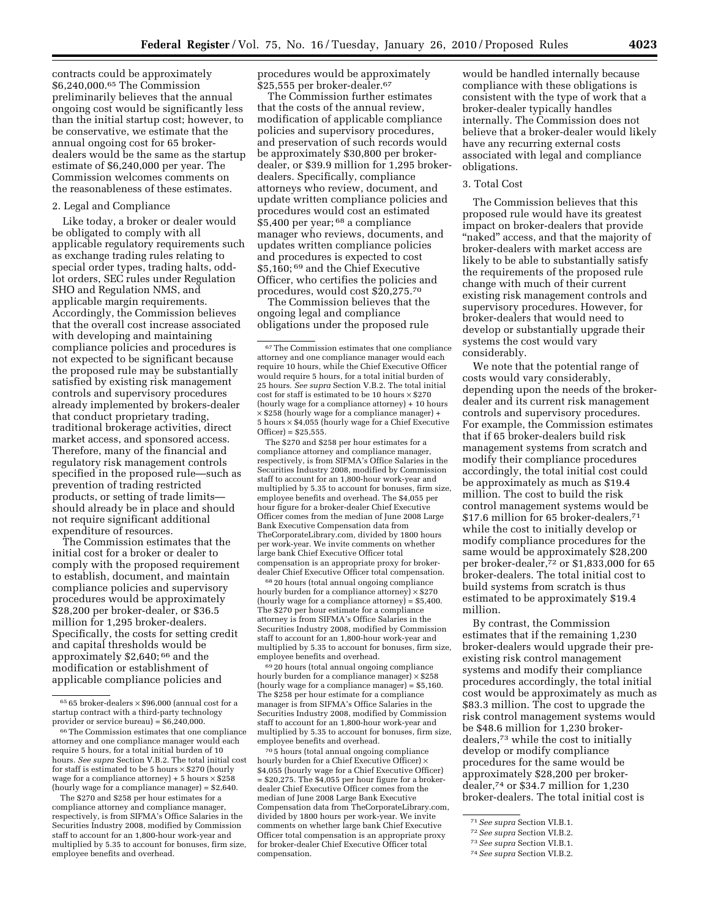contracts could be approximately \$6,240,000.65 The Commission preliminarily believes that the annual ongoing cost would be significantly less than the initial startup cost; however, to be conservative, we estimate that the annual ongoing cost for 65 brokerdealers would be the same as the startup estimate of \$6,240,000 per year. The Commission welcomes comments on the reasonableness of these estimates.

#### 2. Legal and Compliance

Like today, a broker or dealer would be obligated to comply with all applicable regulatory requirements such as exchange trading rules relating to special order types, trading halts, oddlot orders, SEC rules under Regulation SHO and Regulation NMS, and applicable margin requirements. Accordingly, the Commission believes that the overall cost increase associated with developing and maintaining compliance policies and procedures is not expected to be significant because the proposed rule may be substantially satisfied by existing risk management controls and supervisory procedures already implemented by brokers-dealer that conduct proprietary trading, traditional brokerage activities, direct market access, and sponsored access. Therefore, many of the financial and regulatory risk management controls specified in the proposed rule—such as prevention of trading restricted products, or setting of trade limits should already be in place and should not require significant additional expenditure of resources.

The Commission estimates that the initial cost for a broker or dealer to comply with the proposed requirement to establish, document, and maintain compliance policies and supervisory procedures would be approximately \$28,200 per broker-dealer, or \$36.5 million for 1,295 broker-dealers. Specifically, the costs for setting credit and capital thresholds would be approximately \$2,640; 66 and the modification or establishment of applicable compliance policies and

procedures would be approximately \$25,555 per broker-dealer.<sup>67</sup>

The Commission further estimates that the costs of the annual review, modification of applicable compliance policies and supervisory procedures, and preservation of such records would be approximately \$30,800 per brokerdealer, or \$39.9 million for 1,295 brokerdealers. Specifically, compliance attorneys who review, document, and update written compliance policies and procedures would cost an estimated \$5,400 per year; 68 a compliance manager who reviews, documents, and updates written compliance policies and procedures is expected to cost \$5,160; 69 and the Chief Executive Officer, who certifies the policies and procedures, would cost \$20,275.70

The Commission believes that the ongoing legal and compliance obligations under the proposed rule

The \$270 and \$258 per hour estimates for a compliance attorney and compliance manager, respectively, is from SIFMA's Office Salaries in the Securities Industry 2008, modified by Commission staff to account for an 1,800-hour work-year and multiplied by 5.35 to account for bonuses, firm size, employee benefits and overhead. The \$4,055 per hour figure for a broker-dealer Chief Executive Officer comes from the median of June 2008 Large Bank Executive Compensation data from TheCorporateLibrary.com, divided by 1800 hours per work-year. We invite comments on whether large bank Chief Executive Officer total compensation is an appropriate proxy for brokerdealer Chief Executive Officer total compensation.

68 20 hours (total annual ongoing compliance hourly burden for a compliance attorney)  $\times$  \$270 (hourly wage for a compliance attorney) = \$5,400. The \$270 per hour estimate for a compliance attorney is from SIFMA's Office Salaries in the Securities Industry 2008, modified by Commission staff to account for an 1,800-hour work-year and multiplied by 5.35 to account for bonuses, firm size, employee benefits and overhead.

69 20 hours (total annual ongoing compliance hourly burden for a compliance manager)  $\times$  \$258 (hourly wage for a compliance manager) = \$5,160. The \$258 per hour estimate for a compliance manager is from SIFMA's Office Salaries in the Securities Industry 2008, modified by Commission staff to account for an 1,800-hour work-year and multiplied by 5.35 to account for bonuses, firm size, employee benefits and overhead.

70 5 hours (total annual ongoing compliance hourly burden for a Chief Executive Officer) × \$4,055 (hourly wage for a Chief Executive Officer) = \$20,275. The \$4,055 per hour figure for a brokerdealer Chief Executive Officer comes from the median of June 2008 Large Bank Executive Compensation data from TheCorporateLibrary.com, divided by 1800 hours per work-year. We invite comments on whether large bank Chief Executive Officer total compensation is an appropriate proxy for broker-dealer Chief Executive Officer total compensation.

would be handled internally because compliance with these obligations is consistent with the type of work that a broker-dealer typically handles internally. The Commission does not believe that a broker-dealer would likely have any recurring external costs associated with legal and compliance obligations.

### 3. Total Cost

The Commission believes that this proposed rule would have its greatest impact on broker-dealers that provide "naked" access, and that the majority of broker-dealers with market access are likely to be able to substantially satisfy the requirements of the proposed rule change with much of their current existing risk management controls and supervisory procedures. However, for broker-dealers that would need to develop or substantially upgrade their systems the cost would vary considerably.

We note that the potential range of costs would vary considerably, depending upon the needs of the brokerdealer and its current risk management controls and supervisory procedures. For example, the Commission estimates that if 65 broker-dealers build risk management systems from scratch and modify their compliance procedures accordingly, the total initial cost could be approximately as much as \$19.4 million. The cost to build the risk control management systems would be \$17.6 million for 65 broker-dealers,<sup>71</sup> while the cost to initially develop or modify compliance procedures for the same would be approximately \$28,200 per broker-dealer,72 or \$1,833,000 for 65 broker-dealers. The total initial cost to build systems from scratch is thus estimated to be approximately \$19.4 million.

By contrast, the Commission estimates that if the remaining 1,230 broker-dealers would upgrade their preexisting risk control management systems and modify their compliance procedures accordingly, the total initial cost would be approximately as much as \$83.3 million. The cost to upgrade the risk control management systems would be \$48.6 million for 1,230 brokerdealers,73 while the cost to initially develop or modify compliance procedures for the same would be approximately \$28,200 per brokerdealer,74 or \$34.7 million for 1,230 broker-dealers. The total initial cost is

 $^{65}$  65 broker-dealers  $\times$  \$96,000 (annual cost for a startup contract with a third-party technology provider or service bureau) = \$6,240,000.

<sup>66</sup>The Commission estimates that one compliance attorney and one compliance manager would each require 5 hours, for a total initial burden of 10 hours. *See supra* Section V.B.2. The total initial cost for staff is estimated to be 5 hours  $\times$  \$270 (hourly wage for a compliance attorney) + 5 hours  $\times$  \$258 (hourly wage for a compliance manager) = \$2,640.

The \$270 and \$258 per hour estimates for a compliance attorney and compliance manager, respectively, is from SIFMA's Office Salaries in the Securities Industry 2008, modified by Commission staff to account for an 1,800-hour work-year and multiplied by 5.35 to account for bonuses, firm size, employee benefits and overhead.

<sup>67</sup>The Commission estimates that one compliance attorney and one compliance manager would each require 10 hours, while the Chief Executive Officer would require 5 hours, for a total initial burden of 25 hours. *See supra* Section V.B.2. The total initial cost for staff is estimated to be 10 hours  $\times$  \$270 (hourly wage for a compliance attorney) + 10 hours  $\times$  \$258 (hourly wage for a compliance manager) + 5 hours × \$4,055 (hourly wage for a Chief Executive  $Officer = $25.555$ .

<sup>71</sup>*See supra* Section VI.B.1.

<sup>72</sup>*See supra* Section VI.B.2.

<sup>73</sup>*See supra* Section VI.B.1.

<sup>74</sup>*See supra* Section VI.B.2.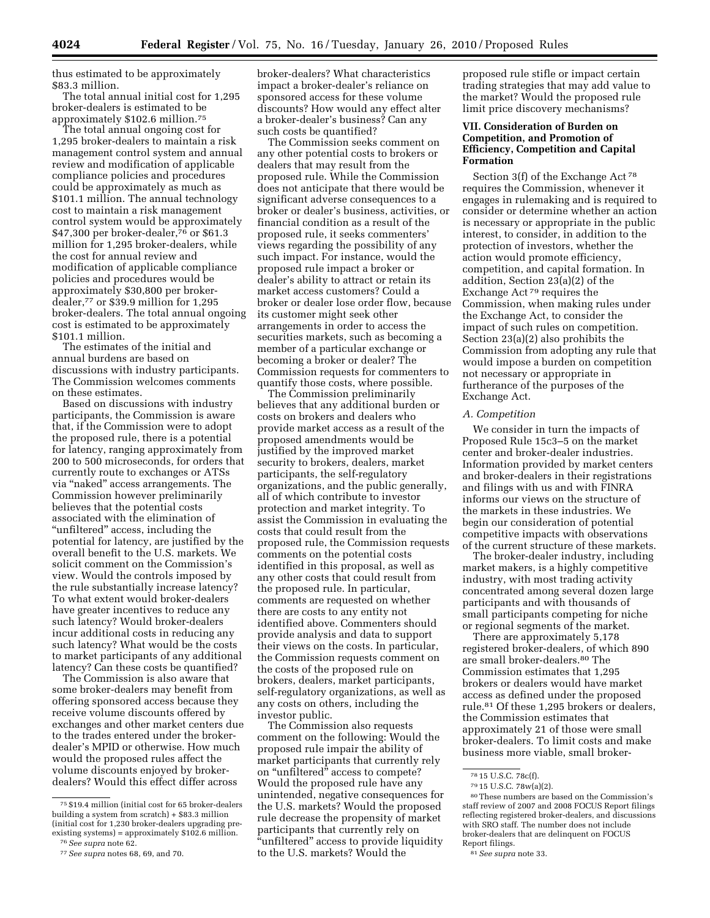thus estimated to be approximately \$83.3 million.

The total annual initial cost for 1,295 broker-dealers is estimated to be approximately \$102.6 million.75

The total annual ongoing cost for 1,295 broker-dealers to maintain a risk management control system and annual review and modification of applicable compliance policies and procedures could be approximately as much as \$101.1 million. The annual technology cost to maintain a risk management control system would be approximately \$47,300 per broker-dealer,76 or \$61.3 million for 1,295 broker-dealers, while the cost for annual review and modification of applicable compliance policies and procedures would be approximately \$30,800 per brokerdealer,77 or \$39.9 million for 1,295 broker-dealers. The total annual ongoing cost is estimated to be approximately \$101.1 million.

The estimates of the initial and annual burdens are based on discussions with industry participants. The Commission welcomes comments on these estimates.

Based on discussions with industry participants, the Commission is aware that, if the Commission were to adopt the proposed rule, there is a potential for latency, ranging approximately from 200 to 500 microseconds, for orders that currently route to exchanges or ATSs via "naked" access arrangements. The Commission however preliminarily believes that the potential costs associated with the elimination of ''unfiltered'' access, including the potential for latency, are justified by the overall benefit to the U.S. markets. We solicit comment on the Commission's view. Would the controls imposed by the rule substantially increase latency? To what extent would broker-dealers have greater incentives to reduce any such latency? Would broker-dealers incur additional costs in reducing any such latency? What would be the costs to market participants of any additional latency? Can these costs be quantified?

The Commission is also aware that some broker-dealers may benefit from offering sponsored access because they receive volume discounts offered by exchanges and other market centers due to the trades entered under the brokerdealer's MPID or otherwise. How much would the proposed rules affect the volume discounts enjoyed by brokerdealers? Would this effect differ across

broker-dealers? What characteristics impact a broker-dealer's reliance on sponsored access for these volume discounts? How would any effect alter a broker-dealer's business? Can any such costs be quantified?

The Commission seeks comment on any other potential costs to brokers or dealers that may result from the proposed rule. While the Commission does not anticipate that there would be significant adverse consequences to a broker or dealer's business, activities, or financial condition as a result of the proposed rule, it seeks commenters' views regarding the possibility of any such impact. For instance, would the proposed rule impact a broker or dealer's ability to attract or retain its market access customers? Could a broker or dealer lose order flow, because its customer might seek other arrangements in order to access the securities markets, such as becoming a member of a particular exchange or becoming a broker or dealer? The Commission requests for commenters to quantify those costs, where possible.

The Commission preliminarily believes that any additional burden or costs on brokers and dealers who provide market access as a result of the proposed amendments would be justified by the improved market security to brokers, dealers, market participants, the self-regulatory organizations, and the public generally, all of which contribute to investor protection and market integrity. To assist the Commission in evaluating the costs that could result from the proposed rule, the Commission requests comments on the potential costs identified in this proposal, as well as any other costs that could result from the proposed rule. In particular, comments are requested on whether there are costs to any entity not identified above. Commenters should provide analysis and data to support their views on the costs. In particular, the Commission requests comment on the costs of the proposed rule on brokers, dealers, market participants, self-regulatory organizations, as well as any costs on others, including the investor public.

The Commission also requests comment on the following: Would the proposed rule impair the ability of market participants that currently rely on ''unfiltered'' access to compete? Would the proposed rule have any unintended, negative consequences for the U.S. markets? Would the proposed rule decrease the propensity of market participants that currently rely on ''unfiltered'' access to provide liquidity to the U.S. markets? Would the

proposed rule stifle or impact certain trading strategies that may add value to the market? Would the proposed rule limit price discovery mechanisms?

## **VII. Consideration of Burden on Competition, and Promotion of Efficiency, Competition and Capital Formation**

Section 3(f) of the Exchange Act 78 requires the Commission, whenever it engages in rulemaking and is required to consider or determine whether an action is necessary or appropriate in the public interest, to consider, in addition to the protection of investors, whether the action would promote efficiency, competition, and capital formation. In addition, Section 23(a)(2) of the Exchange Act 79 requires the Commission, when making rules under the Exchange Act, to consider the impact of such rules on competition. Section 23(a)(2) also prohibits the Commission from adopting any rule that would impose a burden on competition not necessary or appropriate in furtherance of the purposes of the Exchange Act.

#### *A. Competition*

We consider in turn the impacts of Proposed Rule 15c3–5 on the market center and broker-dealer industries. Information provided by market centers and broker-dealers in their registrations and filings with us and with FINRA informs our views on the structure of the markets in these industries. We begin our consideration of potential competitive impacts with observations of the current structure of these markets.

The broker-dealer industry, including market makers, is a highly competitive industry, with most trading activity concentrated among several dozen large participants and with thousands of small participants competing for niche or regional segments of the market.

There are approximately 5,178 registered broker-dealers, of which 890 are small broker-dealers.80 The Commission estimates that 1,295 brokers or dealers would have market access as defined under the proposed rule.81 Of these 1,295 brokers or dealers, the Commission estimates that approximately 21 of those were small broker-dealers. To limit costs and make business more viable, small broker-

<sup>75</sup> \$19.4 million (initial cost for 65 broker-dealers building a system from scratch) + \$83.3 million (initial cost for 1,230 broker-dealers upgrading preexisting systems) = approximately  $$102.6$  million.

<sup>76</sup>*See supra* note 62.

<sup>77</sup>*See supra* notes 68, 69, and 70.

<sup>78</sup> 15 U.S.C. 78c(f).

<sup>79</sup> 15 U.S.C. 78w(a)(2).

<sup>80</sup>These numbers are based on the Commission's staff review of 2007 and 2008 FOCUS Report filings reflecting registered broker-dealers, and discussions with SRO staff. The number does not include broker-dealers that are delinquent on FOCUS Report filings.

<sup>81</sup>*See supra* note 33.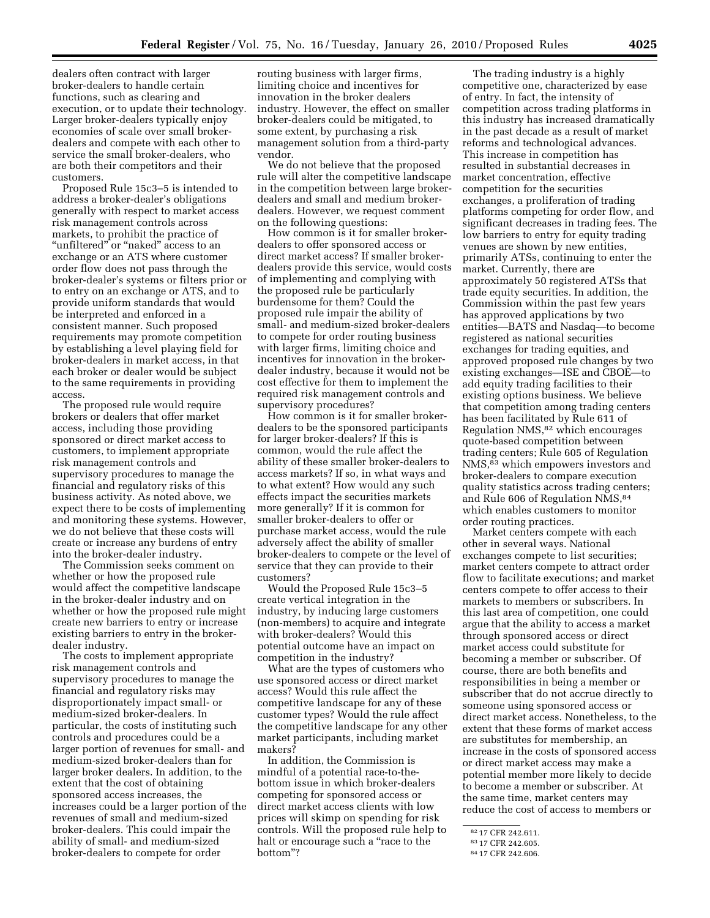dealers often contract with larger broker-dealers to handle certain functions, such as clearing and execution, or to update their technology. Larger broker-dealers typically enjoy economies of scale over small brokerdealers and compete with each other to service the small broker-dealers, who are both their competitors and their customers.

Proposed Rule 15c3–5 is intended to address a broker-dealer's obligations generally with respect to market access risk management controls across markets, to prohibit the practice of "unfiltered" or "naked" access to an exchange or an ATS where customer order flow does not pass through the broker-dealer's systems or filters prior or to entry on an exchange or ATS, and to provide uniform standards that would be interpreted and enforced in a consistent manner. Such proposed requirements may promote competition by establishing a level playing field for broker-dealers in market access, in that each broker or dealer would be subject to the same requirements in providing access.

The proposed rule would require brokers or dealers that offer market access, including those providing sponsored or direct market access to customers, to implement appropriate risk management controls and supervisory procedures to manage the financial and regulatory risks of this business activity. As noted above, we expect there to be costs of implementing and monitoring these systems. However, we do not believe that these costs will create or increase any burdens of entry into the broker-dealer industry.

The Commission seeks comment on whether or how the proposed rule would affect the competitive landscape in the broker-dealer industry and on whether or how the proposed rule might create new barriers to entry or increase existing barriers to entry in the brokerdealer industry.

The costs to implement appropriate risk management controls and supervisory procedures to manage the financial and regulatory risks may disproportionately impact small- or medium-sized broker-dealers. In particular, the costs of instituting such controls and procedures could be a larger portion of revenues for small- and medium-sized broker-dealers than for larger broker dealers. In addition, to the extent that the cost of obtaining sponsored access increases, the increases could be a larger portion of the revenues of small and medium-sized broker-dealers. This could impair the ability of small- and medium-sized broker-dealers to compete for order

routing business with larger firms, limiting choice and incentives for innovation in the broker dealers industry. However, the effect on smaller broker-dealers could be mitigated, to some extent, by purchasing a risk management solution from a third-party vendor.

We do not believe that the proposed rule will alter the competitive landscape in the competition between large brokerdealers and small and medium brokerdealers. However, we request comment on the following questions:

How common is it for smaller brokerdealers to offer sponsored access or direct market access? If smaller brokerdealers provide this service, would costs of implementing and complying with the proposed rule be particularly burdensome for them? Could the proposed rule impair the ability of small- and medium-sized broker-dealers to compete for order routing business with larger firms, limiting choice and incentives for innovation in the brokerdealer industry, because it would not be cost effective for them to implement the required risk management controls and supervisory procedures?

How common is it for smaller brokerdealers to be the sponsored participants for larger broker-dealers? If this is common, would the rule affect the ability of these smaller broker-dealers to access markets? If so, in what ways and to what extent? How would any such effects impact the securities markets more generally? If it is common for smaller broker-dealers to offer or purchase market access, would the rule adversely affect the ability of smaller broker-dealers to compete or the level of service that they can provide to their customers?

Would the Proposed Rule 15c3–5 create vertical integration in the industry, by inducing large customers (non-members) to acquire and integrate with broker-dealers? Would this potential outcome have an impact on competition in the industry?

What are the types of customers who use sponsored access or direct market access? Would this rule affect the competitive landscape for any of these customer types? Would the rule affect the competitive landscape for any other market participants, including market makers?

In addition, the Commission is mindful of a potential race-to-thebottom issue in which broker-dealers competing for sponsored access or direct market access clients with low prices will skimp on spending for risk controls. Will the proposed rule help to halt or encourage such a "race to the bottom''?

The trading industry is a highly competitive one, characterized by ease of entry. In fact, the intensity of competition across trading platforms in this industry has increased dramatically in the past decade as a result of market reforms and technological advances. This increase in competition has resulted in substantial decreases in market concentration, effective competition for the securities exchanges, a proliferation of trading platforms competing for order flow, and significant decreases in trading fees. The low barriers to entry for equity trading venues are shown by new entities, primarily ATSs, continuing to enter the market. Currently, there are approximately 50 registered ATSs that trade equity securities. In addition, the Commission within the past few years has approved applications by two entities—BATS and Nasdaq—to become registered as national securities exchanges for trading equities, and approved proposed rule changes by two existing exchanges—ISE and CBOE—to add equity trading facilities to their existing options business. We believe that competition among trading centers has been facilitated by Rule 611 of Regulation NMS,82 which encourages quote-based competition between trading centers; Rule 605 of Regulation NMS,83 which empowers investors and broker-dealers to compare execution quality statistics across trading centers; and Rule 606 of Regulation NMS, 84 which enables customers to monitor order routing practices.

Market centers compete with each other in several ways. National exchanges compete to list securities; market centers compete to attract order flow to facilitate executions; and market centers compete to offer access to their markets to members or subscribers. In this last area of competition, one could argue that the ability to access a market through sponsored access or direct market access could substitute for becoming a member or subscriber. Of course, there are both benefits and responsibilities in being a member or subscriber that do not accrue directly to someone using sponsored access or direct market access. Nonetheless, to the extent that these forms of market access are substitutes for membership, an increase in the costs of sponsored access or direct market access may make a potential member more likely to decide to become a member or subscriber. At the same time, market centers may reduce the cost of access to members or

<sup>82</sup> 17 CFR 242.611.

<sup>83</sup> 17 CFR 242.605.

<sup>84</sup> 17 CFR 242.606.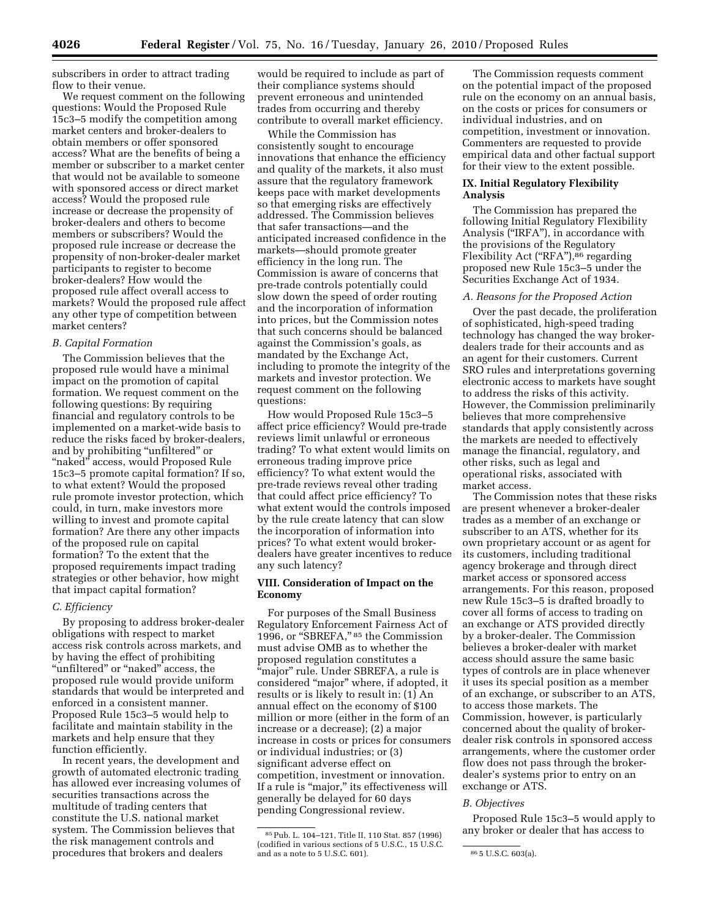subscribers in order to attract trading flow to their venue.

We request comment on the following questions: Would the Proposed Rule 15c3–5 modify the competition among market centers and broker-dealers to obtain members or offer sponsored access? What are the benefits of being a member or subscriber to a market center that would not be available to someone with sponsored access or direct market access? Would the proposed rule increase or decrease the propensity of broker-dealers and others to become members or subscribers? Would the proposed rule increase or decrease the propensity of non-broker-dealer market participants to register to become broker-dealers? How would the proposed rule affect overall access to markets? Would the proposed rule affect any other type of competition between market centers?

### *B. Capital Formation*

The Commission believes that the proposed rule would have a minimal impact on the promotion of capital formation. We request comment on the following questions: By requiring financial and regulatory controls to be implemented on a market-wide basis to reduce the risks faced by broker-dealers, and by prohibiting "unfiltered" or ''naked'' access, would Proposed Rule 15c3–5 promote capital formation? If so, to what extent? Would the proposed rule promote investor protection, which could, in turn, make investors more willing to invest and promote capital formation? Are there any other impacts of the proposed rule on capital formation? To the extent that the proposed requirements impact trading strategies or other behavior, how might that impact capital formation?

#### *C. Efficiency*

By proposing to address broker-dealer obligations with respect to market access risk controls across markets, and by having the effect of prohibiting "unfiltered" or "naked" access, the proposed rule would provide uniform standards that would be interpreted and enforced in a consistent manner. Proposed Rule 15c3–5 would help to facilitate and maintain stability in the markets and help ensure that they function efficiently.

In recent years, the development and growth of automated electronic trading has allowed ever increasing volumes of securities transactions across the multitude of trading centers that constitute the U.S. national market system. The Commission believes that the risk management controls and procedures that brokers and dealers

would be required to include as part of their compliance systems should prevent erroneous and unintended trades from occurring and thereby contribute to overall market efficiency.

While the Commission has consistently sought to encourage innovations that enhance the efficiency and quality of the markets, it also must assure that the regulatory framework keeps pace with market developments so that emerging risks are effectively addressed. The Commission believes that safer transactions—and the anticipated increased confidence in the markets—should promote greater efficiency in the long run. The Commission is aware of concerns that pre-trade controls potentially could slow down the speed of order routing and the incorporation of information into prices, but the Commission notes that such concerns should be balanced against the Commission's goals, as mandated by the Exchange Act, including to promote the integrity of the markets and investor protection. We request comment on the following questions:

How would Proposed Rule 15c3–5 affect price efficiency? Would pre-trade reviews limit unlawful or erroneous trading? To what extent would limits on erroneous trading improve price efficiency? To what extent would the pre-trade reviews reveal other trading that could affect price efficiency? To what extent would the controls imposed by the rule create latency that can slow the incorporation of information into prices? To what extent would brokerdealers have greater incentives to reduce any such latency?

#### **VIII. Consideration of Impact on the Economy**

For purposes of the Small Business Regulatory Enforcement Fairness Act of 1996, or ''SBREFA,'' 85 the Commission must advise OMB as to whether the proposed regulation constitutes a ''major'' rule. Under SBREFA, a rule is considered "major" where, if adopted, it results or is likely to result in: (1) An annual effect on the economy of \$100 million or more (either in the form of an increase or a decrease); (2) a major increase in costs or prices for consumers or individual industries; or (3) significant adverse effect on competition, investment or innovation. If a rule is "major," its effectiveness will generally be delayed for 60 days pending Congressional review.

The Commission requests comment on the potential impact of the proposed rule on the economy on an annual basis, on the costs or prices for consumers or individual industries, and on competition, investment or innovation. Commenters are requested to provide empirical data and other factual support for their view to the extent possible.

### **IX. Initial Regulatory Flexibility Analysis**

The Commission has prepared the following Initial Regulatory Flexibility Analysis (''IRFA''), in accordance with the provisions of the Regulatory Flexibility Act ("RFA"),<sup>86</sup> regarding proposed new Rule 15c3–5 under the Securities Exchange Act of 1934.

#### *A. Reasons for the Proposed Action*

Over the past decade, the proliferation of sophisticated, high-speed trading technology has changed the way brokerdealers trade for their accounts and as an agent for their customers. Current SRO rules and interpretations governing electronic access to markets have sought to address the risks of this activity. However, the Commission preliminarily believes that more comprehensive standards that apply consistently across the markets are needed to effectively manage the financial, regulatory, and other risks, such as legal and operational risks, associated with market access.

The Commission notes that these risks are present whenever a broker-dealer trades as a member of an exchange or subscriber to an ATS, whether for its own proprietary account or as agent for its customers, including traditional agency brokerage and through direct market access or sponsored access arrangements. For this reason, proposed new Rule 15c3–5 is drafted broadly to cover all forms of access to trading on an exchange or ATS provided directly by a broker-dealer. The Commission believes a broker-dealer with market access should assure the same basic types of controls are in place whenever it uses its special position as a member of an exchange, or subscriber to an ATS, to access those markets. The Commission, however, is particularly concerned about the quality of brokerdealer risk controls in sponsored access arrangements, where the customer order flow does not pass through the brokerdealer's systems prior to entry on an exchange or ATS.

#### *B. Objectives*

Proposed Rule 15c3–5 would apply to any broker or dealer that has access to

<sup>85</sup>Pub. L. 104–121, Title II, 110 Stat. 857 (1996) (codified in various sections of 5 U.S.C., 15 U.S.C. and as a note to 5 U.S.C. 601).  $865$  U.S.C. 603(a).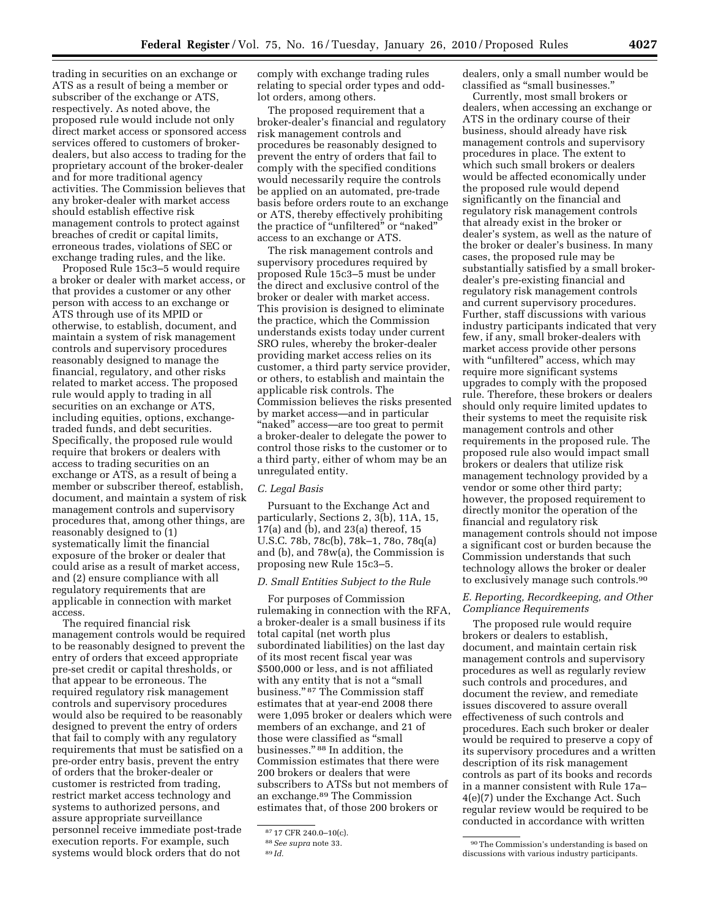trading in securities on an exchange or ATS as a result of being a member or subscriber of the exchange or ATS, respectively. As noted above, the proposed rule would include not only direct market access or sponsored access services offered to customers of brokerdealers, but also access to trading for the proprietary account of the broker-dealer and for more traditional agency activities. The Commission believes that any broker-dealer with market access should establish effective risk management controls to protect against breaches of credit or capital limits, erroneous trades, violations of SEC or exchange trading rules, and the like.

Proposed Rule 15c3–5 would require a broker or dealer with market access, or that provides a customer or any other person with access to an exchange or ATS through use of its MPID or otherwise, to establish, document, and maintain a system of risk management controls and supervisory procedures reasonably designed to manage the financial, regulatory, and other risks related to market access. The proposed rule would apply to trading in all securities on an exchange or ATS, including equities, options, exchangetraded funds, and debt securities. Specifically, the proposed rule would require that brokers or dealers with access to trading securities on an exchange or ATS, as a result of being a member or subscriber thereof, establish, document, and maintain a system of risk management controls and supervisory procedures that, among other things, are reasonably designed to (1) systematically limit the financial exposure of the broker or dealer that could arise as a result of market access, and (2) ensure compliance with all regulatory requirements that are applicable in connection with market access.

The required financial risk management controls would be required to be reasonably designed to prevent the entry of orders that exceed appropriate pre-set credit or capital thresholds, or that appear to be erroneous. The required regulatory risk management controls and supervisory procedures would also be required to be reasonably designed to prevent the entry of orders that fail to comply with any regulatory requirements that must be satisfied on a pre-order entry basis, prevent the entry of orders that the broker-dealer or customer is restricted from trading, restrict market access technology and systems to authorized persons, and assure appropriate surveillance personnel receive immediate post-trade execution reports. For example, such systems would block orders that do not

comply with exchange trading rules relating to special order types and oddlot orders, among others.

The proposed requirement that a broker-dealer's financial and regulatory risk management controls and procedures be reasonably designed to prevent the entry of orders that fail to comply with the specified conditions would necessarily require the controls be applied on an automated, pre-trade basis before orders route to an exchange or ATS, thereby effectively prohibiting the practice of ''unfiltered'' or ''naked'' access to an exchange or ATS.

The risk management controls and supervisory procedures required by proposed Rule 15c3–5 must be under the direct and exclusive control of the broker or dealer with market access. This provision is designed to eliminate the practice, which the Commission understands exists today under current SRO rules, whereby the broker-dealer providing market access relies on its customer, a third party service provider, or others, to establish and maintain the applicable risk controls. The Commission believes the risks presented by market access—and in particular "naked" access—are too great to permit a broker-dealer to delegate the power to control those risks to the customer or to a third party, either of whom may be an unregulated entity.

#### *C. Legal Basis*

Pursuant to the Exchange Act and particularly, Sections 2, 3(b), 11A, 15, 17(a) and (b), and 23(a) thereof, 15 U.S.C. 78b, 78c(b), 78k–1, 78o, 78q(a) and (b), and 78w(a), the Commission is proposing new Rule 15c3–5.

### *D. Small Entities Subject to the Rule*

For purposes of Commission rulemaking in connection with the RFA, a broker-dealer is a small business if its total capital (net worth plus subordinated liabilities) on the last day of its most recent fiscal year was \$500,000 or less, and is not affiliated with any entity that is not a "small business.'' 87 The Commission staff estimates that at year-end 2008 there were 1,095 broker or dealers which were members of an exchange, and 21 of those were classified as ''small businesses.'' 88 In addition, the Commission estimates that there were 200 brokers or dealers that were subscribers to ATSs but not members of an exchange.89 The Commission estimates that, of those 200 brokers or

dealers, only a small number would be classified as ''small businesses.''

Currently, most small brokers or dealers, when accessing an exchange or ATS in the ordinary course of their business, should already have risk management controls and supervisory procedures in place. The extent to which such small brokers or dealers would be affected economically under the proposed rule would depend significantly on the financial and regulatory risk management controls that already exist in the broker or dealer's system, as well as the nature of the broker or dealer's business. In many cases, the proposed rule may be substantially satisfied by a small brokerdealer's pre-existing financial and regulatory risk management controls and current supervisory procedures. Further, staff discussions with various industry participants indicated that very few, if any, small broker-dealers with market access provide other persons with "unfiltered" access, which may require more significant systems upgrades to comply with the proposed rule. Therefore, these brokers or dealers should only require limited updates to their systems to meet the requisite risk management controls and other requirements in the proposed rule. The proposed rule also would impact small brokers or dealers that utilize risk management technology provided by a vendor or some other third party; however, the proposed requirement to directly monitor the operation of the financial and regulatory risk management controls should not impose a significant cost or burden because the Commission understands that such technology allows the broker or dealer to exclusively manage such controls.90

#### *E. Reporting, Recordkeeping, and Other Compliance Requirements*

The proposed rule would require brokers or dealers to establish, document, and maintain certain risk management controls and supervisory procedures as well as regularly review such controls and procedures, and document the review, and remediate issues discovered to assure overall effectiveness of such controls and procedures. Each such broker or dealer would be required to preserve a copy of its supervisory procedures and a written description of its risk management controls as part of its books and records in a manner consistent with Rule 17a– 4(e)(7) under the Exchange Act. Such regular review would be required to be conducted in accordance with written

<sup>87</sup> 17 CFR 240.0–10(c).

<sup>88</sup>*See supra* note 33.

<sup>89</sup> *Id.* 

<sup>90</sup>The Commission's understanding is based on discussions with various industry participants.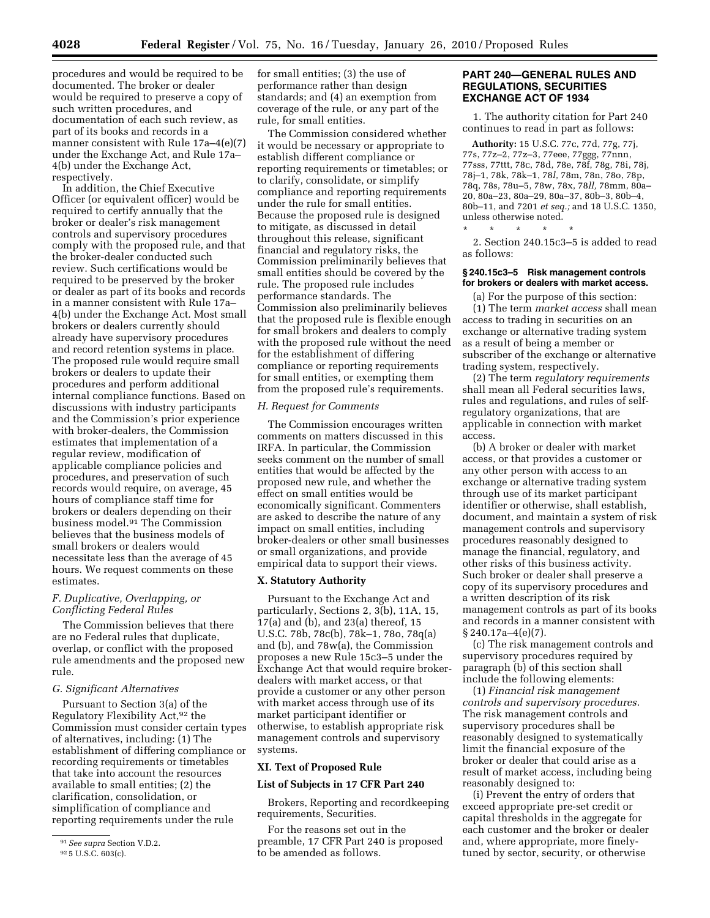procedures and would be required to be documented. The broker or dealer would be required to preserve a copy of such written procedures, and documentation of each such review, as part of its books and records in a manner consistent with Rule 17a–4(e)(7) under the Exchange Act, and Rule 17a– 4(b) under the Exchange Act, respectively.

In addition, the Chief Executive Officer (or equivalent officer) would be required to certify annually that the broker or dealer's risk management controls and supervisory procedures comply with the proposed rule, and that the broker-dealer conducted such review. Such certifications would be required to be preserved by the broker or dealer as part of its books and records in a manner consistent with Rule 17a– 4(b) under the Exchange Act. Most small brokers or dealers currently should already have supervisory procedures and record retention systems in place. The proposed rule would require small brokers or dealers to update their procedures and perform additional internal compliance functions. Based on discussions with industry participants and the Commission's prior experience with broker-dealers, the Commission estimates that implementation of a regular review, modification of applicable compliance policies and procedures, and preservation of such records would require, on average, 45 hours of compliance staff time for brokers or dealers depending on their business model.91 The Commission believes that the business models of small brokers or dealers would necessitate less than the average of 45 hours. We request comments on these estimates.

## *F. Duplicative, Overlapping, or Conflicting Federal Rules*

The Commission believes that there are no Federal rules that duplicate, overlap, or conflict with the proposed rule amendments and the proposed new rule.

## *G. Significant Alternatives*

Pursuant to Section 3(a) of the Regulatory Flexibility Act,92 the Commission must consider certain types of alternatives, including: (1) The establishment of differing compliance or recording requirements or timetables that take into account the resources available to small entities; (2) the clarification, consolidation, or simplification of compliance and reporting requirements under the rule

for small entities; (3) the use of performance rather than design standards; and (4) an exemption from coverage of the rule, or any part of the rule, for small entities.

The Commission considered whether it would be necessary or appropriate to establish different compliance or reporting requirements or timetables; or to clarify, consolidate, or simplify compliance and reporting requirements under the rule for small entities. Because the proposed rule is designed to mitigate, as discussed in detail throughout this release, significant financial and regulatory risks, the Commission preliminarily believes that small entities should be covered by the rule. The proposed rule includes performance standards. The Commission also preliminarily believes that the proposed rule is flexible enough for small brokers and dealers to comply with the proposed rule without the need for the establishment of differing compliance or reporting requirements for small entities, or exempting them from the proposed rule's requirements.

#### *H. Request for Comments*

The Commission encourages written comments on matters discussed in this IRFA. In particular, the Commission seeks comment on the number of small entities that would be affected by the proposed new rule, and whether the effect on small entities would be economically significant. Commenters are asked to describe the nature of any impact on small entities, including broker-dealers or other small businesses or small organizations, and provide empirical data to support their views.

#### **X. Statutory Authority**

Pursuant to the Exchange Act and particularly, Sections 2, 3(b), 11A, 15, 17(a) and (b), and 23(a) thereof, 15 U.S.C. 78b, 78c(b), 78k–1, 78o, 78q(a) and (b), and 78w(a), the Commission proposes a new Rule 15c3–5 under the Exchange Act that would require brokerdealers with market access, or that provide a customer or any other person with market access through use of its market participant identifier or otherwise, to establish appropriate risk management controls and supervisory systems.

#### **XI. Text of Proposed Rule**

#### **List of Subjects in 17 CFR Part 240**

Brokers, Reporting and recordkeeping requirements, Securities.

For the reasons set out in the preamble, 17 CFR Part 240 is proposed to be amended as follows.

#### **PART 240—GENERAL RULES AND REGULATIONS, SECURITIES EXCHANGE ACT OF 1934**

1. The authority citation for Part 240 continues to read in part as follows:

**Authority:** 15 U.S.C. 77c, 77d, 77g, 77j, 77s, 77z–2, 77z–3, 77eee, 77ggg, 77nnn, 77sss, 77ttt, 78c, 78d, 78e, 78f, 78g, 78i, 78j, 78j–1, 78k, 78k–1, 78*l,* 78m, 78n, 78o, 78p, 78q, 78s, 78u–5, 78w, 78x, 78*ll,* 78mm, 80a– 20, 80a–23, 80a–29, 80a–37, 80b–3, 80b–4, 80b–11, and 7201 *et seq.;* and 18 U.S.C. 1350, unless otherwise noted.

\* \* \* \* \*

2. Section 240.15c3–5 is added to read as follows:

#### **§ 240.15c3–5 Risk management controls for brokers or dealers with market access.**

(a) For the purpose of this section: (1) The term *market access* shall mean access to trading in securities on an exchange or alternative trading system as a result of being a member or subscriber of the exchange or alternative trading system, respectively.

(2) The term *regulatory requirements*  shall mean all Federal securities laws, rules and regulations, and rules of selfregulatory organizations, that are applicable in connection with market access.

(b) A broker or dealer with market access, or that provides a customer or any other person with access to an exchange or alternative trading system through use of its market participant identifier or otherwise, shall establish, document, and maintain a system of risk management controls and supervisory procedures reasonably designed to manage the financial, regulatory, and other risks of this business activity. Such broker or dealer shall preserve a copy of its supervisory procedures and a written description of its risk management controls as part of its books and records in a manner consistent with  $§ 240.17a-4(e)(7).$ 

(c) The risk management controls and supervisory procedures required by paragraph (b) of this section shall include the following elements:

(1) *Financial risk management controls and supervisory procedures.*  The risk management controls and supervisory procedures shall be reasonably designed to systematically limit the financial exposure of the broker or dealer that could arise as a result of market access, including being reasonably designed to:

(i) Prevent the entry of orders that exceed appropriate pre-set credit or capital thresholds in the aggregate for each customer and the broker or dealer and, where appropriate, more finelytuned by sector, security, or otherwise

<sup>91</sup>*See supra* Section V.D.2.

<sup>92</sup> 5 U.S.C. 603(c).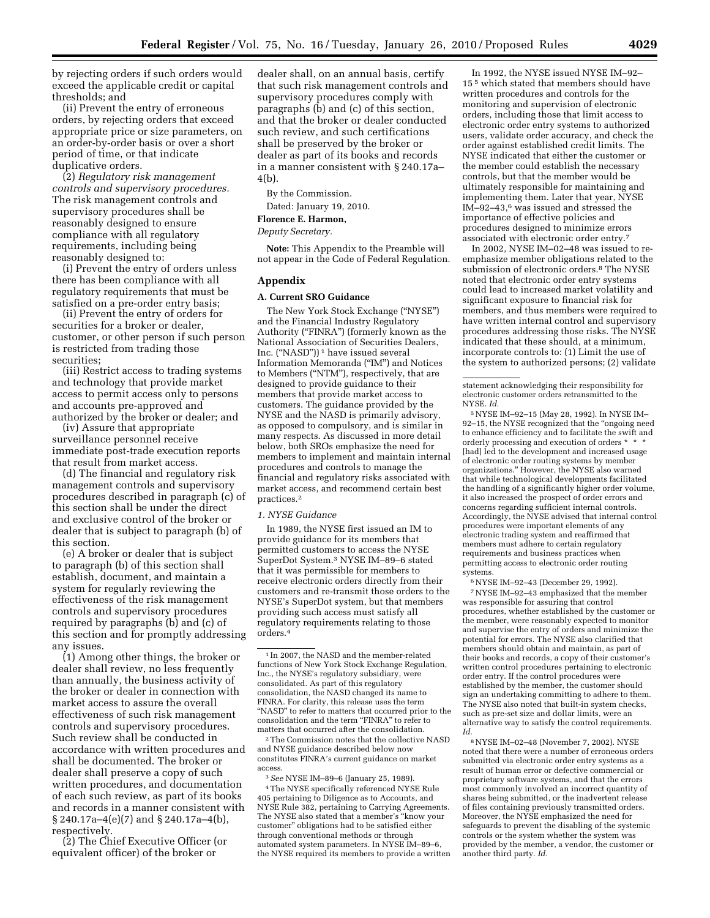by rejecting orders if such orders would exceed the applicable credit or capital thresholds; and

(ii) Prevent the entry of erroneous orders, by rejecting orders that exceed appropriate price or size parameters, on an order-by-order basis or over a short period of time, or that indicate duplicative orders.

(2) *Regulatory risk management controls and supervisory procedures.*  The risk management controls and supervisory procedures shall be reasonably designed to ensure compliance with all regulatory requirements, including being reasonably designed to:

(i) Prevent the entry of orders unless there has been compliance with all regulatory requirements that must be satisfied on a pre-order entry basis;

(ii) Prevent the entry of orders for securities for a broker or dealer, customer, or other person if such person is restricted from trading those securities;

(iii) Restrict access to trading systems and technology that provide market access to permit access only to persons and accounts pre-approved and authorized by the broker or dealer; and

(iv) Assure that appropriate surveillance personnel receive immediate post-trade execution reports that result from market access.

(d) The financial and regulatory risk management controls and supervisory procedures described in paragraph (c) of this section shall be under the direct and exclusive control of the broker or dealer that is subject to paragraph (b) of this section.

(e) A broker or dealer that is subject to paragraph (b) of this section shall establish, document, and maintain a system for regularly reviewing the effectiveness of the risk management controls and supervisory procedures required by paragraphs (b) and (c) of this section and for promptly addressing any issues.

(1) Among other things, the broker or dealer shall review, no less frequently than annually, the business activity of the broker or dealer in connection with market access to assure the overall effectiveness of such risk management controls and supervisory procedures. Such review shall be conducted in accordance with written procedures and shall be documented. The broker or dealer shall preserve a copy of such written procedures, and documentation of each such review, as part of its books and records in a manner consistent with § 240.17a–4(e)(7) and § 240.17a–4(b), respectively.

(2) The Chief Executive Officer (or equivalent officer) of the broker or

dealer shall, on an annual basis, certify that such risk management controls and supervisory procedures comply with paragraphs (b) and (c) of this section, and that the broker or dealer conducted such review, and such certifications shall be preserved by the broker or dealer as part of its books and records in a manner consistent with § 240.17a– 4(b).

By the Commission. Dated: January 19, 2010.

#### **Florence E. Harmon,**

*Deputy Secretary.* 

**Note:** This Appendix to the Preamble will not appear in the Code of Federal Regulation.

#### **Appendix**

## **A. Current SRO Guidance**

The New York Stock Exchange (''NYSE'') and the Financial Industry Regulatory Authority (''FINRA'') (formerly known as the National Association of Securities Dealers, Inc. (''NASD'')) 1 have issued several Information Memoranda (''IM'') and Notices to Members (''NTM''), respectively, that are designed to provide guidance to their members that provide market access to customers. The guidance provided by the NYSE and the NASD is primarily advisory, as opposed to compulsory, and is similar in many respects. As discussed in more detail below, both SROs emphasize the need for members to implement and maintain internal procedures and controls to manage the financial and regulatory risks associated with market access, and recommend certain best practices.2

#### *1. NYSE Guidance*

In 1989, the NYSE first issued an IM to provide guidance for its members that permitted customers to access the NYSE SuperDot System.3 NYSE IM–89–6 stated that it was permissible for members to receive electronic orders directly from their customers and re-transmit those orders to the NYSE's SuperDot system, but that members providing such access must satisfy all regulatory requirements relating to those orders.4

2The Commission notes that the collective NASD and NYSE guidance described below now constitutes FINRA's current guidance on market access.

3*See* NYSE IM–89–6 (January 25, 1989). 4The NYSE specifically referenced NYSE Rule 405 pertaining to Diligence as to Accounts, and NYSE Rule 382, pertaining to Carrying Agreements. The NYSE also stated that a member's ''know your customer'' obligations had to be satisfied either through conventional methods or through automated system parameters. In NYSE IM–89–6, the NYSE required its members to provide a written

In 1992, the NYSE issued NYSE IM–92– 15 5 which stated that members should have written procedures and controls for the monitoring and supervision of electronic orders, including those that limit access to electronic order entry systems to authorized users, validate order accuracy, and check the order against established credit limits. The NYSE indicated that either the customer or the member could establish the necessary controls, but that the member would be ultimately responsible for maintaining and implementing them. Later that year, NYSE IM–92–43,6 was issued and stressed the importance of effective policies and procedures designed to minimize errors associated with electronic order entry.7

In 2002, NYSE IM–02–48 was issued to reemphasize member obligations related to the submission of electronic orders.8 The NYSE noted that electronic order entry systems could lead to increased market volatility and significant exposure to financial risk for members, and thus members were required to have written internal control and supervisory procedures addressing those risks. The NYSE indicated that these should, at a minimum, incorporate controls to: (1) Limit the use of the system to authorized persons; (2) validate

5NYSE IM–92–15 (May 28, 1992). In NYSE IM– 92-15, the NYSE recognized that the "ongoing need to enhance efficiency and to facilitate the swift and orderly processing and execution of orders \* [had] led to the development and increased usage of electronic order routing systems by member organizations.'' However, the NYSE also warned that while technological developments facilitated the handling of a significantly higher order volume, it also increased the prospect of order errors and concerns regarding sufficient internal controls. Accordingly, the NYSE advised that internal control procedures were important elements of any electronic trading system and reaffirmed that members must adhere to certain regulatory requirements and business practices when permitting access to electronic order routing systems.

6NYSE IM–92–43 (December 29, 1992).

7NYSE IM–92–43 emphasized that the member was responsible for assuring that control procedures, whether established by the customer or the member, were reasonably expected to monitor and supervise the entry of orders and minimize the potential for errors. The NYSE also clarified that members should obtain and maintain, as part of their books and records, a copy of their customer's written control procedures pertaining to electronic order entry. If the control procedures were established by the member, the customer should sign an undertaking committing to adhere to them. The NYSE also noted that built-in system checks, such as pre-set size and dollar limits, were an alternative way to satisfy the control requirements. *Id.* 

8NYSE IM–02–48 (November 7, 2002). NYSE noted that there were a number of erroneous orders submitted via electronic order entry systems as a result of human error or defective commercial or proprietary software systems, and that the errors most commonly involved an incorrect quantity of shares being submitted, or the inadvertent release of files containing previously transmitted orders. Moreover, the NYSE emphasized the need for safeguards to prevent the disabling of the systemic controls or the system whether the system was provided by the member, a vendor, the customer or another third party. *Id.* 

<sup>1</sup> In 2007, the NASD and the member-related functions of New York Stock Exchange Regulation, Inc., the NYSE's regulatory subsidiary, were consolidated. As part of this regulatory consolidation, the NASD changed its name to FINRA. For clarity, this release uses the term ''NASD'' to refer to matters that occurred prior to the consolidation and the term ''FINRA'' to refer to matters that occurred after the consolidation.

statement acknowledging their responsibility for electronic customer orders retransmitted to the NYSE. *Id.*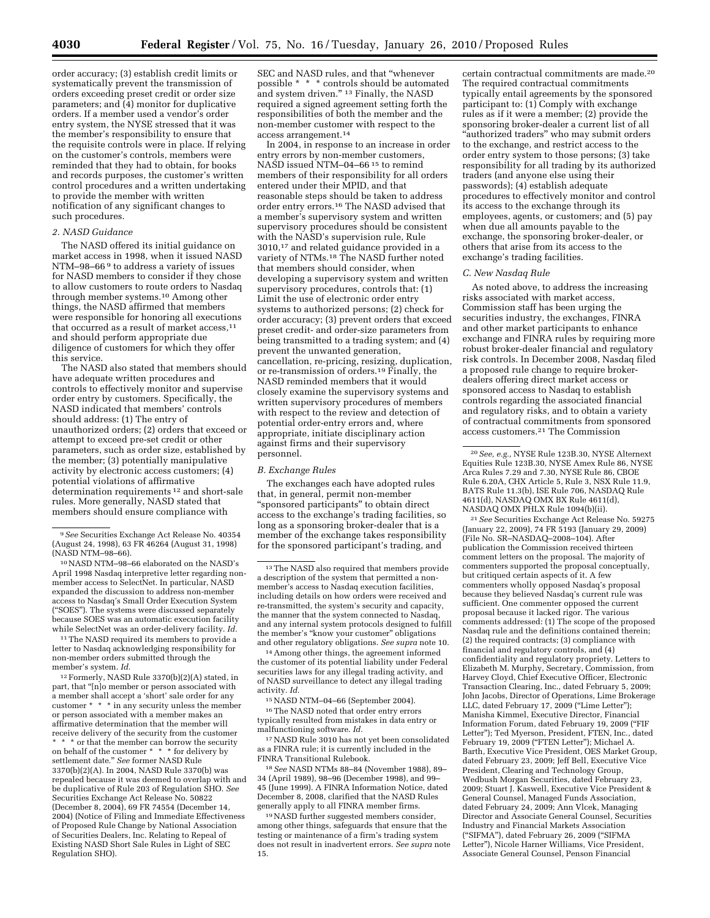order accuracy; (3) establish credit limits or systematically prevent the transmission of orders exceeding preset credit or order size parameters; and  $\vec{A}$  monitor for duplicative orders. If a member used a vendor's order entry system, the NYSE stressed that it was the member's responsibility to ensure that the requisite controls were in place. If relying on the customer's controls, members were reminded that they had to obtain, for books and records purposes, the customer's written control procedures and a written undertaking to provide the member with written notification of any significant changes to such procedures.

#### *2. NASD Guidance*

The NASD offered its initial guidance on market access in 1998, when it issued NASD NTM–98–66<sup>9</sup> to address a variety of issues for NASD members to consider if they chose to allow customers to route orders to Nasdaq through member systems.10 Among other things, the NASD affirmed that members were responsible for honoring all executions that occurred as a result of market access,<sup>11</sup> and should perform appropriate due diligence of customers for which they offer this service.

The NASD also stated that members should have adequate written procedures and controls to effectively monitor and supervise order entry by customers. Specifically, the NASD indicated that members' controls should address: (1) The entry of unauthorized orders; (2) orders that exceed or attempt to exceed pre-set credit or other parameters, such as order size, established by the member; (3) potentially manipulative activity by electronic access customers; (4) potential violations of affirmative determination requirements 12 and short-sale rules. More generally, NASD stated that members should ensure compliance with

10NASD NTM–98–66 elaborated on the NASD's April 1998 Nasdaq interpretive letter regarding nonmember access to SelectNet. In particular, NASD expanded the discussion to address non-member access to Nasdaq's Small Order Execution System (''SOES''). The systems were discussed separately because SOES was an automatic execution facility while SelectNet was an order-delivery facility. *Id.* 

<sup>11</sup> The NASD required its members to provide a letter to Nasdaq acknowledging responsibility for non-member orders submitted through the member's system. *Id.* 

12Formerly, NASD Rule 3370(b)(2)(A) stated, in part, that "[n]o member or person associated with a member shall accept a 'short' sale order for any customer \* \* \* in any security unless the member or person associated with a member makes an affirmative determination that the member will receive delivery of the security from the customer \* \* \* or that the member can borrow the security on behalf of the customer \* \* \* for delivery by settlement date.'' *See* former NASD Rule 3370(b)(2)(A). In 2004, NASD Rule 3370(b) was repealed because it was deemed to overlap with and be duplicative of Rule 203 of Regulation SHO. *See*  Securities Exchange Act Release No. 50822 (December 8, 2004), 69 FR 74554 (December 14, 2004) (Notice of Filing and Immediate Effectiveness of Proposed Rule Change by National Association of Securities Dealers, Inc. Relating to Repeal of Existing NASD Short Sale Rules in Light of SEC Regulation SHO).

SEC and NASD rules, and that ''whenever possible \* \* \* controls should be automated and system driven.'' 13 Finally, the NASD required a signed agreement setting forth the responsibilities of both the member and the non-member customer with respect to the access arrangement.14

In 2004, in response to an increase in order entry errors by non-member customers, NASD issued NTM–04–66 15 to remind members of their responsibility for all orders entered under their MPID, and that reasonable steps should be taken to address order entry errors.16 The NASD advised that a member's supervisory system and written supervisory procedures should be consistent with the NASD's supervision rule, Rule 3010,<sup>17</sup> and related guidance provided in a variety of NTMs.<sup>18</sup> The NASD further noted that members should consider, when developing a supervisory system and written supervisory procedures, controls that: (1) Limit the use of electronic order entry systems to authorized persons; (2) check for order accuracy; (3) prevent orders that exceed preset credit- and order-size parameters from being transmitted to a trading system; and (4) prevent the unwanted generation, cancellation, re-pricing, resizing, duplication, or re-transmission of orders.19 Finally, the NASD reminded members that it would closely examine the supervisory systems and written supervisory procedures of members with respect to the review and detection of potential order-entry errors and, where appropriate, initiate disciplinary action against firms and their supervisory personnel.

#### *B. Exchange Rules*

The exchanges each have adopted rules that, in general, permit non-member "sponsored participants" to obtain direct access to the exchange's trading facilities, so long as a sponsoring broker-dealer that is a member of the exchange takes responsibility for the sponsored participant's trading, and

14Among other things, the agreement informed the customer of its potential liability under Federal securities laws for any illegal trading activity, and of NASD surveillance to detect any illegal trading activity. *Id.* 

15NASD NTM–04–66 (September 2004).

16The NASD noted that order entry errors typically resulted from mistakes in data entry or malfunctioning software. *Id.* 

17NASD Rule 3010 has not yet been consolidated as a FINRA rule; it is currently included in the FINRA Transitional Rulebook.

18*See* NASD NTMs 88–84 (November 1988), 89– 34 (April 1989), 98–96 (December 1998), and 99– 45 (June 1999). A FINRA Information Notice, dated December 8, 2008, clarified that the NASD Rules generally apply to all FINRA member firms.

19NASD further suggested members consider, among other things, safeguards that ensure that the testing or maintenance of a firm's trading system does not result in inadvertent errors. *See supra* note 15.

certain contractual commitments are made.20 The required contractual commitments typically entail agreements by the sponsored participant to: (1) Comply with exchange rules as if it were a member; (2) provide the sponsoring broker-dealer a current list of all authorized traders" who may submit orders to the exchange, and restrict access to the order entry system to those persons; (3) take responsibility for all trading by its authorized traders (and anyone else using their passwords); (4) establish adequate procedures to effectively monitor and control its access to the exchange through its employees, agents, or customers; and (5) pay when due all amounts payable to the exchange, the sponsoring broker-dealer, or others that arise from its access to the exchange's trading facilities.

#### *C. New Nasdaq Rule*

As noted above, to address the increasing risks associated with market access, Commission staff has been urging the securities industry, the exchanges, FINRA and other market participants to enhance exchange and FINRA rules by requiring more robust broker-dealer financial and regulatory risk controls. In December 2008, Nasdaq filed a proposed rule change to require brokerdealers offering direct market access or sponsored access to Nasdaq to establish controls regarding the associated financial and regulatory risks, and to obtain a variety of contractual commitments from sponsored access customers.21 The Commission

20*See, e.g.,* NYSE Rule 123B.30, NYSE Alternext Equities Rule 123B.30, NYSE Amex Rule 86, NYSE Arca Rules 7.29 and 7.30, NYSE Rule 86, CBOE Rule 6.20A, CHX Article 5, Rule 3, NSX Rule 11.9, BATS Rule 11.3(b), ISE Rule 706, NASDAQ Rule 4611(d), NASDAQ OMX BX Rule 4611(d), NASDAQ OMX PHLX Rule 1094(b)(ii).

21*See* Securities Exchange Act Release No. 59275 (January 22, 2009), 74 FR 5193 (January 29, 2009) (File No. SR–NASDAQ–2008–104). After publication the Commission received thirteen comment letters on the proposal. The majority of commenters supported the proposal conceptually, but critiqued certain aspects of it. A few commenters wholly opposed Nasdaq's proposal because they believed Nasdaq's current rule was sufficient. One commenter opposed the current proposal because it lacked rigor. The various comments addressed: (1) The scope of the proposed Nasdaq rule and the definitions contained therein; (2) the required contracts; (3) compliance with financial and regulatory controls, and (4) confidentiality and regulatory propriety. Letters to Elizabeth M. Murphy, Secretary, Commission, from Harvey Cloyd, Chief Executive Officer, Electronic Transaction Clearing, Inc., dated February 5, 2009; John Jacobs, Director of Operations, Lime Brokerage LLC, dated February 17, 2009 (''Lime Letter''); Manisha Kimmel, Executive Director, Financial Information Forum, dated February 19, 2009 (''FIF Letter''); Ted Myerson, President, FTEN, Inc., dated February 19, 2009 ("FTEN Letter"); Michael A. Barth, Executive Vice President, OES Market Group, dated February 23, 2009; Jeff Bell, Executive Vice President, Clearing and Technology Group, Wedbush Morgan Securities, dated February 23, 2009; Stuart J. Kaswell, Executive Vice President & General Counsel, Managed Funds Association, dated February 24, 2009; Ann Vlcek, Managing Director and Associate General Counsel, Securities Industry and Financial Markets Association (''SIFMA''), dated February 26, 2009 (''SIFMA Letter''), Nicole Harner Williams, Vice President, Associate General Counsel, Penson Financial

<sup>9</sup>*See* Securities Exchange Act Release No. 40354 (August 24, 1998), 63 FR 46264 (August 31, 1998) (NASD NTM–98–66).

<sup>13</sup>The NASD also required that members provide a description of the system that permitted a nonmember's access to Nasdaq execution facilities, including details on how orders were received and re-transmitted, the system's security and capacity, the manner that the system connected to Nasdaq, and any internal system protocols designed to fulfill the member's "know your customer" obligations and other regulatory obligations. *See supra* note 10.